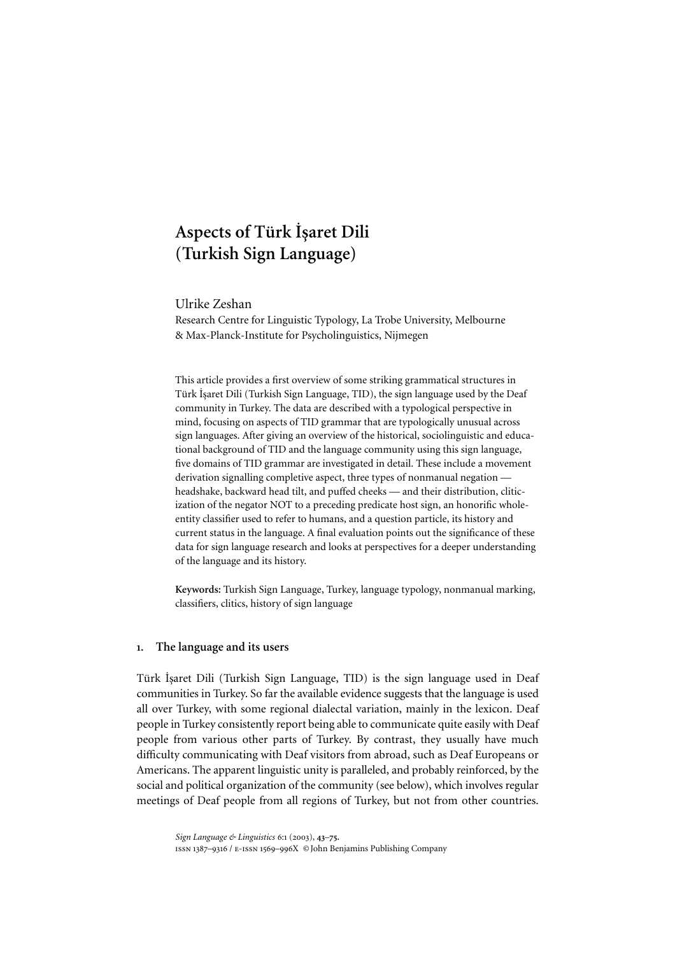# Aspects of Türk İsaret Dili (Turkish Sign Language)

Ulrike Zeshan

Research Centre for Linguistic Typology, La Trobe University, Melbourne & Max-Planck-Institute for Psycholinguistics, Nijmegen

This article provides a first overview of some striking grammatical structures in Türk İşaret Dili (Turkish Sign Language, TID), the sign language used by the Deaf community in Turkey. The data are described with a typological perspective in mind, focusing on aspects of TID grammar that are typologically unusual across sign languages. After giving an overview of the historical, sociolinguistic and educational background of TID and the language community using this sign language, five domains of TID grammar are investigated in detail. These include a movement derivation signalling completive aspect, three types of nonmanual negation headshake, backward head tilt, and puffed cheeks — and their distribution, cliticization of the negator NOT to a preceding predicate host sign, an honorific wholeentity classifier used to refer to humans, and a question particle, its history and current status in the language. A final evaluation points out the significance of these data for sign language research and looks at perspectives for a deeper understanding of the language and its history.

Keywords: Turkish Sign Language, Turkey, language typology, nonmanual marking, classifiers, clitics, history of sign language

## 1. The language and its users

Türk Isaret Dili (Turkish Sign Language, TID) is the sign language used in Deaf communities in Turkey. So far the available evidence suggests that the language is used all over Turkey, with some regional dialectal variation, mainly in the lexicon. Deaf people in Turkey consistently report being able to communicate quite easily with Deaf people from various other parts of Turkey. By contrast, they usually have much difficulty communicating with Deaf visitors from abroad, such as Deaf Europeans or Americans. The apparent linguistic unity is paralleled, and probably reinforced, by the social and political organization of the community (see below), which involves regular meetings of Deaf people from all regions of Turkey, but not from other countries.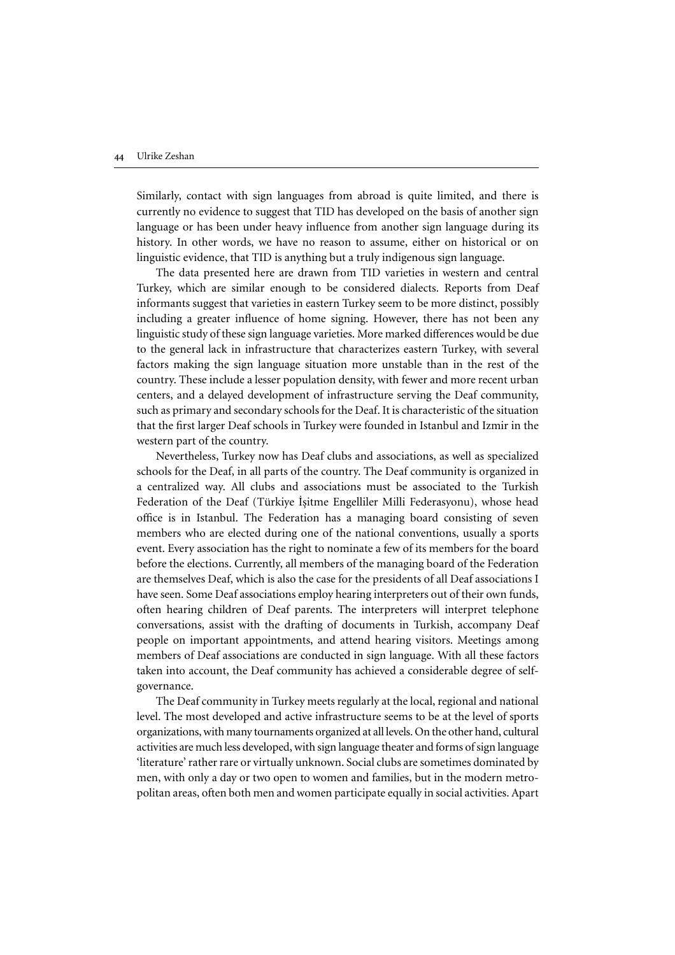Similarly, contact with sign languages from abroad is quite limited, and there is currently no evidence to suggest that TID has developed on the basis of another sign language or has been under heavy influence from another sign language during its history. In other words, we have no reason to assume, either on historical or on linguistic evidence, that TID is anything but a truly indigenous sign language.

The data presented here are drawn from TID varieties in western and central Turkey, which are similar enough to be considered dialects. Reports from Deaf informants suggest that varieties in eastern Turkey seem to be more distinct, possibly including a greater influence of home signing. However, there has not been any linguistic study of these sign language varieties. More marked differences would be due to the general lack in infrastructure that characterizes eastern Turkey, with several factors making the sign language situation more unstable than in the rest of the country. These include a lesser population density, with fewer and more recent urban centers, and a delayed development of infrastructure serving the Deaf community, such as primary and secondary schools for the Deaf. It is characteristic of the situation that the first larger Deaf schools in Turkey were founded in Istanbul and Izmir in the western part of the country.

Nevertheless, Turkey now has Deaf clubs and associations, as well as specialized schools for the Deaf, in all parts of the country. The Deaf community is organized in a centralized way. All clubs and associations must be associated to the Turkish Federation of the Deaf (Türkiye Işitme Engelliler Milli Federasyonu), whose head office is in Istanbul. The Federation has a managing board consisting of seven members who are elected during one of the national conventions, usually a sports event. Every association has the right to nominate a few of its members for the board before the elections. Currently, all members of the managing board of the Federation are themselves Deaf, which is also the case for the presidents of all Deaf associations I have seen. Some Deaf associations employ hearing interpreters out of their own funds, often hearing children of Deaf parents. The interpreters will interpret telephone conversations, assist with the drafting of documents in Turkish, accompany Deaf people on important appointments, and attend hearing visitors. Meetings among members of Deaf associations are conducted in sign language. With all these factors taken into account, the Deaf community has achieved a considerable degree of selfgovernance.

The Deaf community in Turkey meets regularly at the local, regional and national level. The most developed and active infrastructure seems to be at the level of sports organizations, with many tournaments organized at all levels. On the other hand, cultural activities are much less developed, with sign language theater and forms of sign language 'literature' rather rare or virtually unknown. Social clubs are sometimes dominated by men, with only a day or two open to women and families, but in the modern metropolitan areas, often both men and women participate equally in social activities. Apart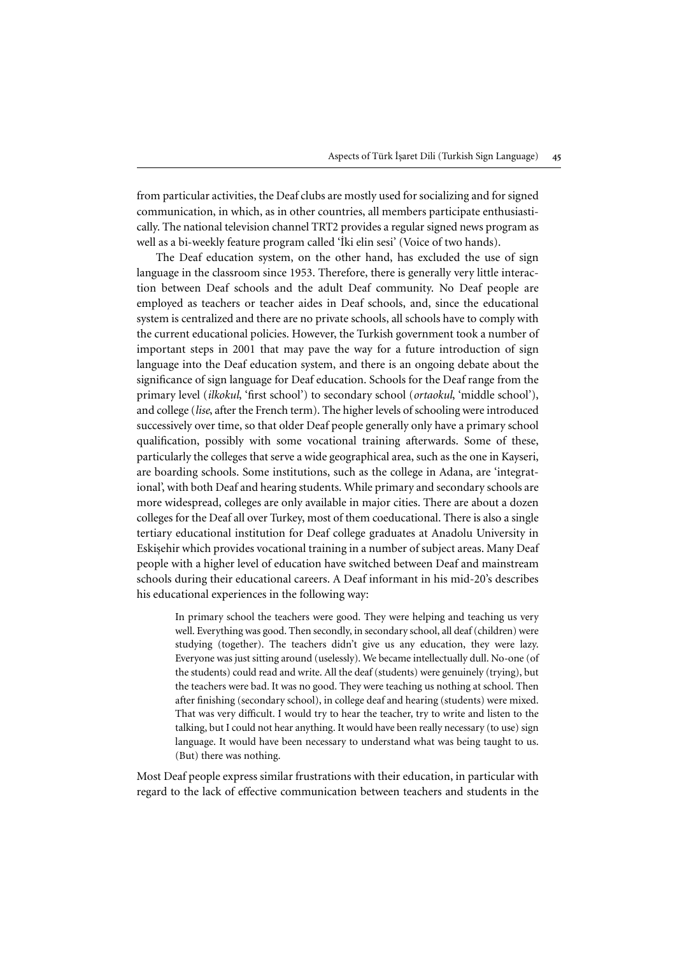from particular activities, the Deaf clubs are mostly used for socializing and for signed communication, in which, as in other countries, all members participate enthusiastically. The national television channel TRT2 provides a regular signed news program as well as a bi-weekly feature program called 'İki elin sesi' (Voice of two hands).

The Deaf education system, on the other hand, has excluded the use of sign language in the classroom since 1953. Therefore, there is generally very little interaction between Deaf schools and the adult Deaf community. No Deaf people are employed as teachers or teacher aides in Deaf schools, and, since the educational system is centralized and there are no private schools, all schools have to comply with the current educational policies. However, the Turkish government took a number of important steps in 2001 that may pave the way for a future introduction of sign language into the Deaf education system, and there is an ongoing debate about the significance of sign language for Deaf education. Schools for the Deaf range from the primary level (*ilkokul*, 'first school') to secondary school (*ortaokul*, 'middle school'), and college (*lise*, after the French term). The higher levels of schooling were introduced successively over time, so that older Deaf people generally only have a primary school qualification, possibly with some vocational training afterwards. Some of these, particularly the colleges that serve a wide geographical area, such as the one in Kayseri, are boarding schools. Some institutions, such as the college in Adana, are 'integrational', with both Deaf and hearing students. While primary and secondary schools are more widespread, colleges are only available in major cities. There are about a dozen colleges for the Deaf all over Turkey, most of them coeducational. There is also a single tertiary educational institution for Deaf college graduates at Anadolu University in Eskişehir which provides vocational training in a number of subject areas. Many Deaf people with a higher level of education have switched between Deaf and mainstream schools during their educational careers. A Deaf informant in his mid-20's describes his educational experiences in the following way:

In primary school the teachers were good. They were helping and teaching us very well. Everything was good. Then secondly, in secondary school, all deaf (children) were studying (together). The teachers didn't give us any education, they were lazy. Everyone was just sitting around (uselessly). We became intellectually dull. No-one (of the students) could read and write. All the deaf (students) were genuinely (trying), but the teachers were bad. It was no good. They were teaching us nothing at school. Then after finishing (secondary school), in college deaf and hearing (students) were mixed. That was very difficult. I would try to hear the teacher, try to write and listen to the talking, but I could not hear anything. It would have been really necessary (to use) sign language. It would have been necessary to understand what was being taught to us. (But) there was nothing.

Most Deaf people express similar frustrations with their education, in particular with regard to the lack of effective communication between teachers and students in the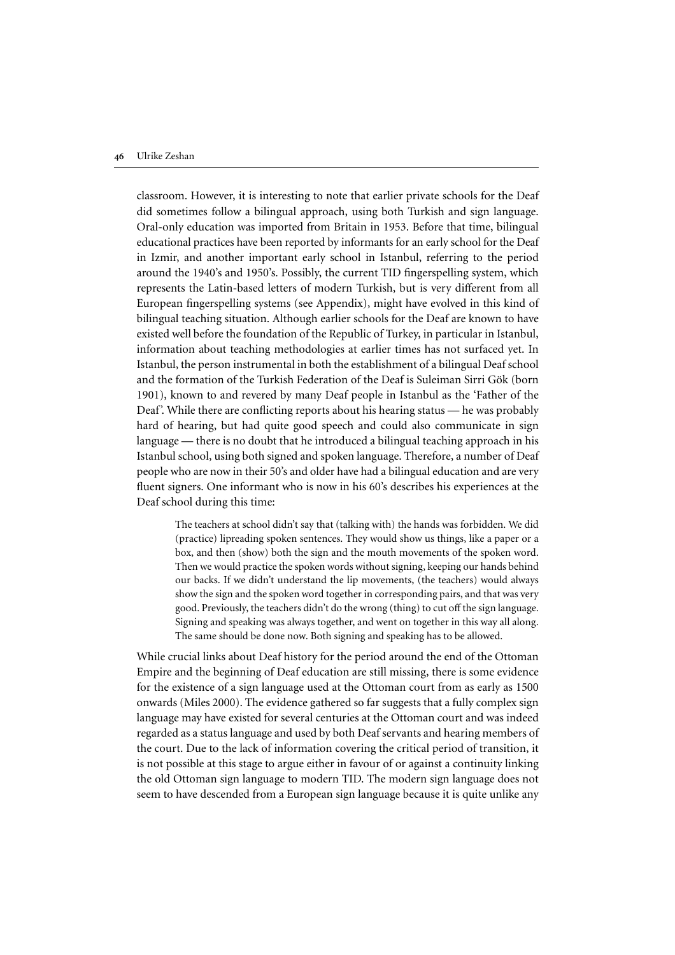classroom. However, it is interesting to note that earlier private schools for the Deaf did sometimes follow a bilingual approach, using both Turkish and sign language. Oral-only education was imported from Britain in 1953. Before that time, bilingual educational practices have been reported by informants for an early school for the Deaf in Izmir, and another important early school in Istanbul, referring to the period around the 1940's and 1950's. Possibly, the current TID fingerspelling system, which represents the Latin-based letters of modern Turkish, but is very different from all European fingerspelling systems (see Appendix), might have evolved in this kind of bilingual teaching situation. Although earlier schools for the Deaf are known to have existed well before the foundation of the Republic of Turkey, in particular in Istanbul, information about teaching methodologies at earlier times has not surfaced yet. In Istanbul, the person instrumental in both the establishment of a bilingual Deaf school and the formation of the Turkish Federation of the Deaf is Suleiman Sirri Gök (born 1901), known to and revered by many Deaf people in Istanbul as the 'Father of the Deaf'. While there are conflicting reports about his hearing status — he was probably hard of hearing, but had quite good speech and could also communicate in sign language — there is no doubt that he introduced a bilingual teaching approach in his Istanbul school, using both signed and spoken language. Therefore, a number of Deaf people who are now in their 50's and older have had a bilingual education and are very fluent signers. One informant who is now in his 60's describes his experiences at the Deaf school during this time:

The teachers at school didn't say that (talking with) the hands was forbidden. We did (practice) lipreading spoken sentences. They would show us things, like a paper or a box, and then (show) both the sign and the mouth movements of the spoken word. Then we would practice the spoken words without signing, keeping our hands behind our backs. If we didn't understand the lip movements, (the teachers) would always show the sign and the spoken word together in corresponding pairs, and that was very good. Previously, the teachers didn't do the wrong (thing) to cut off the sign language. Signing and speaking was always together, and went on together in this way all along. The same should be done now. Both signing and speaking has to be allowed.

While crucial links about Deaf history for the period around the end of the Ottoman Empire and the beginning of Deaf education are still missing, there is some evidence for the existence of a sign language used at the Ottoman court from as early as 1500 onwards [\(Miles 2000](#page-31-0)). The evidence gathered so far suggests that a fully complex sign language may have existed for several centuries at the Ottoman court and was indeed regarded as a status language and used by both Deaf servants and hearing members of the court. Due to the lack of information covering the critical period of transition, it is not possible at this stage to argue either in favour of or against a continuity linking the old Ottoman sign language to modern TID. The modern sign language does not seem to have descended from a European sign language because it is quite unlike any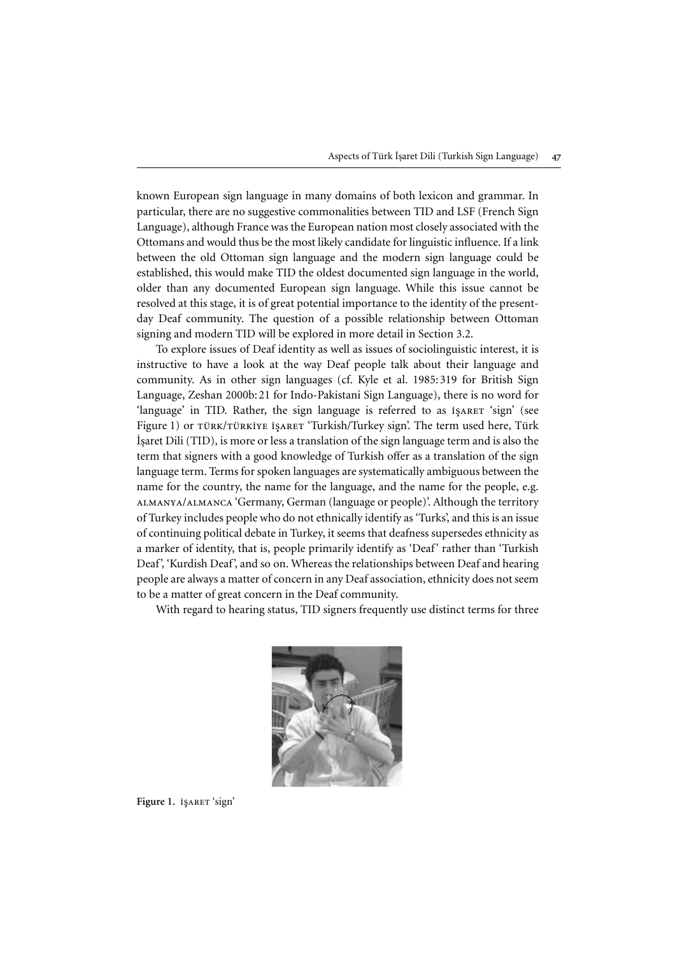known European sign language in many domains of both lexicon and grammar. In particular, there are no suggestive commonalities between TID and LSF (French Sign Language), although France was the European nation most closely associated with the Ottomans and would thus be the most likely candidate for linguistic influence. If a link between the old Ottoman sign language and the modern sign language could be established, this would make TID the oldest documented sign language in the world, older than any documented European sign language. While this issue cannot be resolved at this stage, it is of great potential importance to the identity of the presentday Deaf community. The question of a possible relationship between Ottoman signing and modern TID will be explored in more detail in Section 3.2. Aspects of Türk İşaret Dili (Turkish Sign Language)<br>
known European sign language in many domains of both lexicon and grammar. In<br>
particular, there are no suggestive commonalities between TID and LSF (French Sign<br>
Languag

To explore issues of Deaf identity as well as issues of sociolinguistic interest, it is instructive to have a look at the way Deaf people talk about their language and community. As in other sign languages (cf. [Kyle et al. 1985:319](#page-31-0) for British Sign Language, Zeshan 2000b:21 for Indo-Pakistani Sign Language), there is no word for Figure 1) or TÜRK/TÜRKİYE İŞARET 'Turkish/Turkey sign'. The term used here, Türk İşaret Dili (TID), is more or less a translation of the sign language term and is also the term that signers with a good knowledge of Turkish offer as a translation of the sign language term. Terms for spoken languages are systematically ambiguous between the name for the country, the name for the language, and the name for the people, e.g. almanya/almanca 'Germany, German (language or people)'. Although the territory of Turkey includes people who do not ethnically identify as 'Turks', and this is an issue of continuing political debate in Turkey, it seems that deafness supersedes ethnicity as a marker of identity, that is, people primarily identify as 'Deaf' rather than 'Turkish Deaf', 'Kurdish Deaf', and so on. Whereas the relationships between Deaf and hearing people are always a matter of concern in any Deaf association, ethnicity does not seem to be a matter of great concern in the Deaf community.

With regard to hearing status, TID signers frequently use distinct terms for three



Figure 1. işaret 'sign'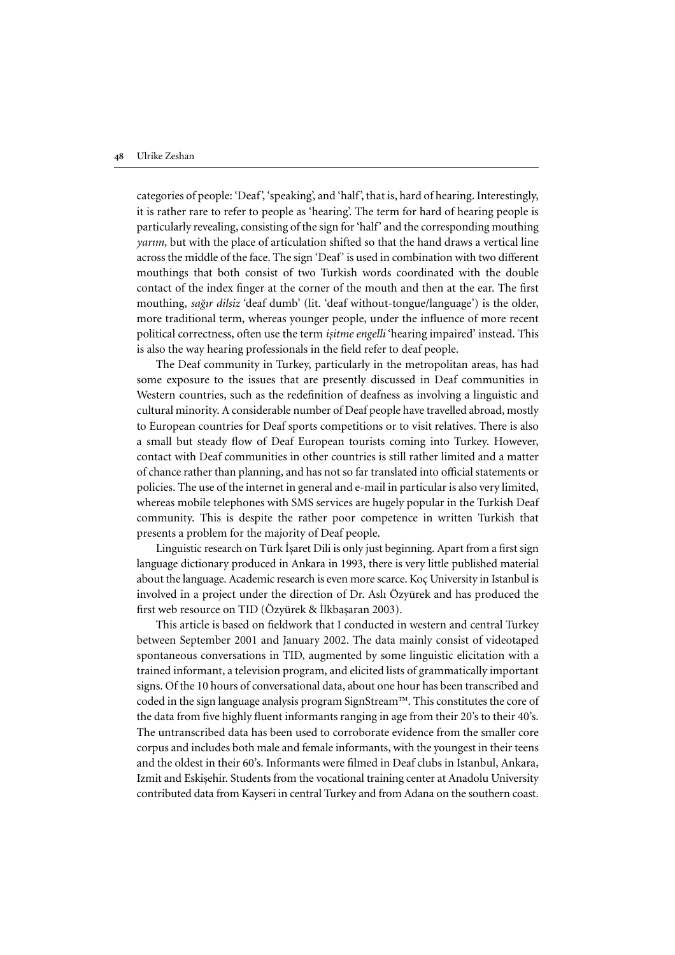categories of people: 'Deaf', 'speaking', and 'half', that is, hard of hearing. Interestingly, it is rather rare to refer to people as 'hearing'. The term for hard of hearing people is particularly revealing, consisting of the sign for 'half' and the corresponding mouthing *yarım*, but with the place of articulation shifted so that the hand draws a vertical line across the middle of the face. The sign 'Deaf' is used in combination with two different mouthings that both consist of two Turkish words coordinated with the double contact of the index finger at the corner of the mouth and then at the ear. The first mouthing, *sag˘ır dilsiz* 'deaf dumb' (lit. 'deaf without-tongue/language') is the older, more traditional term, whereas younger people, under the influence of more recent political correctness, often use the term *isitme engelli* 'hearing impaired' instead. This is also the way hearing professionals in the field refer to deaf people.

The Deaf community in Turkey, particularly in the metropolitan areas, has had some exposure to the issues that are presently discussed in Deaf communities in Western countries, such as the redefinition of deafness as involving a linguistic and cultural minority. A considerable number of Deaf people have travelled abroad, mostly to European countries for Deaf sports competitions or to visit relatives. There is also a small but steady flow of Deaf European tourists coming into Turkey. However, contact with Deaf communities in other countries is still rather limited and a matter of chance rather than planning, and has not so far translated into official statements or policies. The use of the internet in general and e-mail in particular is also very limited, whereas mobile telephones with SMS services are hugely popular in the Turkish Deaf community. This is despite the rather poor competence in written Turkish that presents a problem for the majority of Deaf people.

Linguistic research on Türk İşaret Dili is only just beginning. Apart from a first sign language dictionary produced in Ankara in 1993, there is very little published material about the language. Academic research is even more scarce. Koç University in Istanbul is involved in a project under the direction of Dr. Aslı Özyürek and has produced the first web resource on TID (Özyürek & İlkbaşaran 2003).

This article is based on fieldwork that I conducted in western and central Turkey between September 2001 and January 2002. The data mainly consist of videotaped spontaneous conversations in TID, augmented by some linguistic elicitation with a trained informant, a television program, and elicited lists of grammatically important signs. Of the 10 hours of conversational data, about one hour has been transcribed and coded in the sign language analysis program SignStream™. This constitutes the core of the data from five highly fluent informants ranging in age from their 20's to their 40's. The untranscribed data has been used to corroborate evidence from the smaller core corpus and includes both male and female informants, with the youngest in their teens and the oldest in their 60's. Informants were filmed in Deaf clubs in Istanbul, Ankara, Izmit and Eskişehir. Students from the vocational training center at Anadolu University contributed data from Kayseri in central Turkey and from Adana on the southern coast.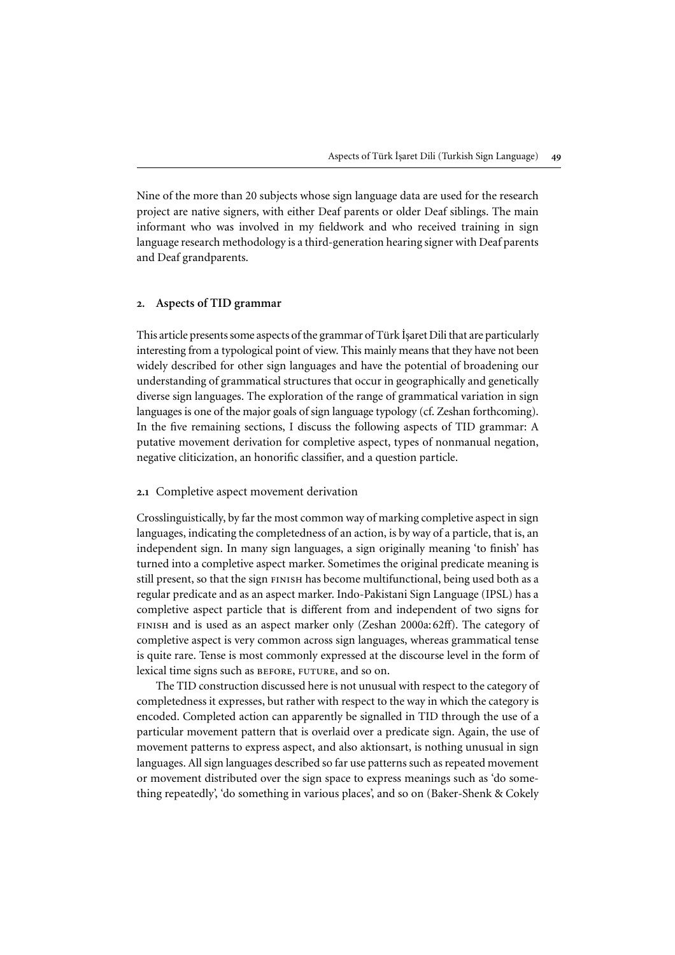Nine of the more than 20 subjects whose sign language data are used for the research project are native signers, with either Deaf parents or older Deaf siblings. The main informant who was involved in my fieldwork and who received training in sign language research methodology is a third-generation hearing signer with Deaf parents and Deaf grandparents.

#### 2. Aspects of TID grammar

This article presents some aspects of the grammar of Türk Isaret Dili that are particularly interesting from a typological point of view. This mainly means that they have not been widely described for other sign languages and have the potential of broadening our understanding of grammatical structures that occur in geographically and genetically diverse sign languages. The exploration of the range of grammatical variation in sign languages is one of the major goals of sign language typology (cf. Zeshan forthcoming). In the five remaining sections, I discuss the following aspects of TID grammar: A putative movement derivation for completive aspect, types of nonmanual negation, negative cliticization, an honorific classifier, and a question particle.

#### 2.1 Completive aspect movement derivation

Crosslinguistically, by far the most common way of marking completive aspect in sign languages, indicating the completedness of an action, is by way of a particle, that is, an independent sign. In many sign languages, a sign originally meaning 'to finish' has turned into a completive aspect marker. Sometimes the original predicate meaning is still present, so that the sign FINISH has become multifunctional, being used both as a regular predicate and as an aspect marker. Indo-Pakistani Sign Language (IPSL) has a completive aspect particle that is different from and independent of two signs for FINISH and is used as an aspect marker only (Zeshan 2000a: 62ff). The category of completive aspect is very common across sign languages, whereas grammatical tense is quite rare. Tense is most commonly expressed at the discourse level in the form of lexical time signs such as BEFORE, FUTURE, and so on.

The TID construction discussed here is not unusual with respect to the category of completedness it expresses, but rather with respect to the way in which the category is encoded. Completed action can apparently be signalled in TID through the use of a particular movement pattern that is overlaid over a predicate sign. Again, the use of movement patterns to express aspect, and also aktionsart, is nothing unusual in sign languages. All sign languages described so far use patterns such as repeated movement or movement distributed over the sign space to express meanings such as 'do something repeatedly', 'do something in various places', and so on [\(Baker-Shenk & Cokely](#page-30-0)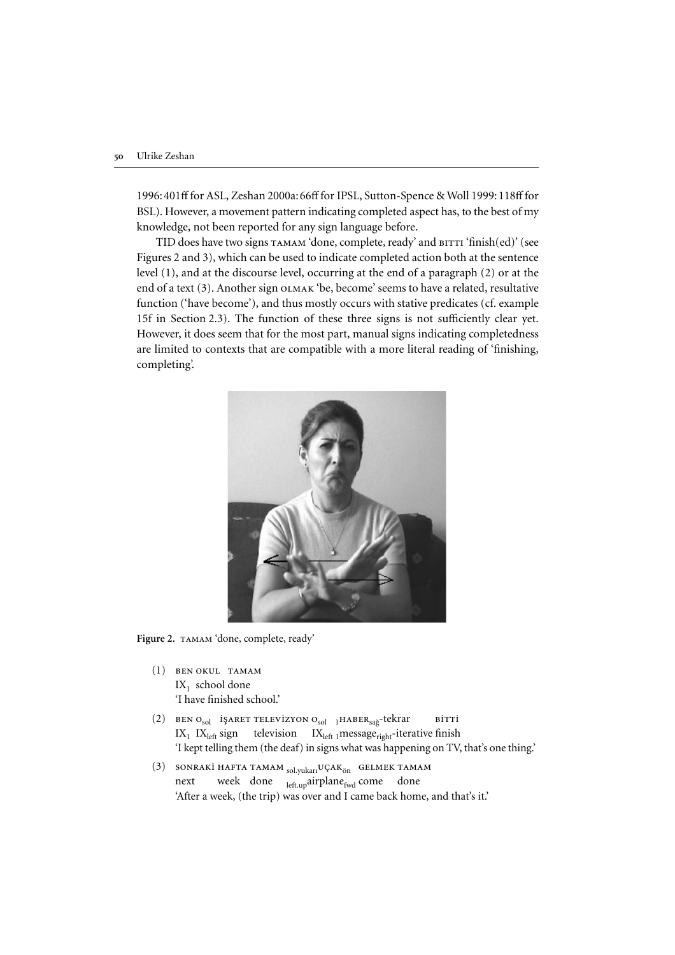[1996:401](#page-30-0)ff for ASL, [Zeshan 2000a:66](#page-31-0)ff for IPSL, [Sutton-Spence & Woll 1999:118](#page-31-0)ff for BSL). However, a movement pattern indicating completed aspect has, to the best of my knowledge, not been reported for any sign language before.

TID does have two signs tamam 'done, complete, ready' and bitti 'finish(ed)' (see Figures 2 and 3), which can be used to indicate completed action both at the sentence level (1), and at the discourse level, occurring at the end of a paragraph (2) or at the end of a text (3). Another sign olmak 'be, become' seems to have a related, resultative function ('have become'), and thus mostly occurs with stative predicates (cf. example 15f in Section 2.3). The function of these three signs is not sufficiently clear yet. However, it does seem that for the most part, manual signs indicating completedness are limited to contexts that are compatible with a more literal reading of 'finishing, completing'.



Figure 2. TAMAM 'done, complete, ready'

- (1) ben okul tamam  $IX_1$  school done 'I have finished school.'
- (2) BEN O<sub>sol</sub> işaret televizyon o<sub>sol 1</sub>Haber<sub>sağ</sub>-tekrar bitti  $IX_1$   $IX_{left}$  sign television  $IX_{left}$  message<sub>right</sub>-iterative finish 'I kept telling them (the deaf) in signs what was happening on TV, that's one thing.'
- (3) sonraki hafta tamam  $_{sol,ylkan}$ uÇak<sub>ön</sub> gelmek tamam next week done <sub>left.up</sub>airplane<sub>fwd</sub> come done 'After a week, (the trip) was over and I came back home, and that's it.'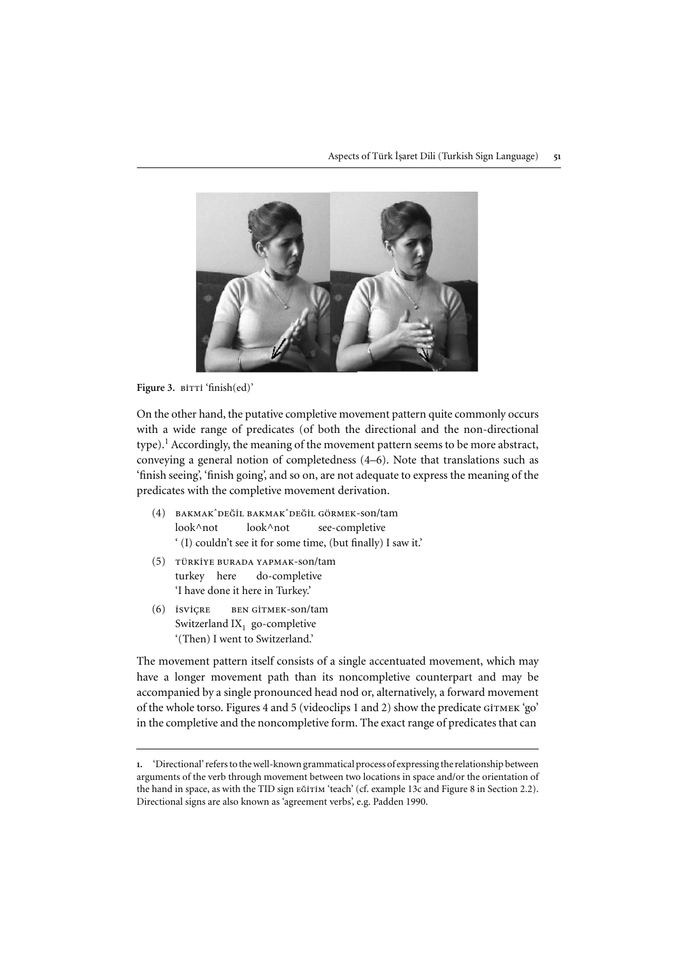

Figure 3. BiTTi 'finish(ed)'

On the other hand, the putative completive movement pattern quite commonly occurs with a wide range of predicates (of both the directional and the non-directional type).<sup>1</sup> Accordingly, the meaning of the movement pattern seems to be more abstract, conveying a general notion of completedness (4–6). Note that translations such as 'finish seeing', 'finish going', and so on, are not adequate to express the meaning of the predicates with the completive movement derivation.

- (4) BAKMAK^DEĞİL BAKMAK^DEĞİL GÖRMEK-SON/tam look^not look^not see-completive ' (I) couldn't see it for some time, (but finally) I saw it.'
- (5) TÜRKİYE BURADA YAPMAK-SON/tam turkey here do-completive 'I have done it here in Turkey.'
- (6) isviçre ben gitmek-son/tam Switzerland  $IX_1$  go-completive '(Then) I went to Switzerland.'

The movement pattern itself consists of a single accentuated movement, which may have a longer movement path than its noncompletive counterpart and may be accompanied by a single pronounced head nod or, alternatively, a forward movement of the whole torso. Figures 4 and 5 (videoclips 1 and 2) show the predicate GITMEK 'go' in the completive and the noncompletive form. The exact range of predicates that can

<sup>1</sup>. 'Directional'referstothewell-knowngrammaticalprocessofexpressingtherelationshipbetween arguments of the verb through movement between two locations in space and/or the orientation of the hand in space, as with the TID sign  $E\text{diri}$  "teach' (cf. example 13c and Figure 8 in Section 2.2). Directional signs are also known as 'agreement verbs', e.g. Padden 1990.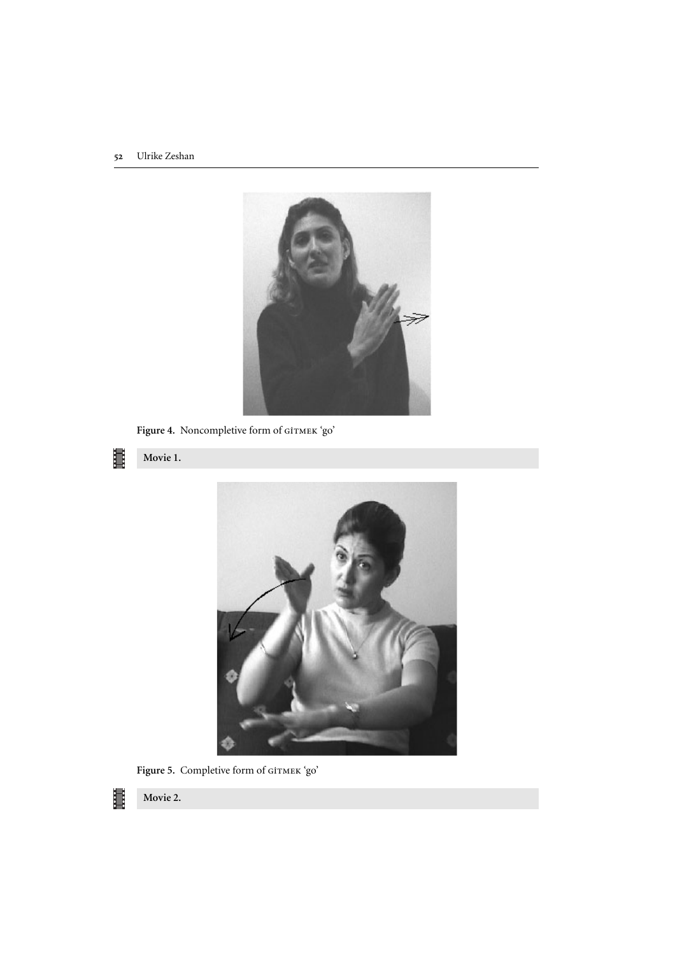

Figure 4. Noncompletive form of GITMEK 'go'



Movie 1.







Movie 2.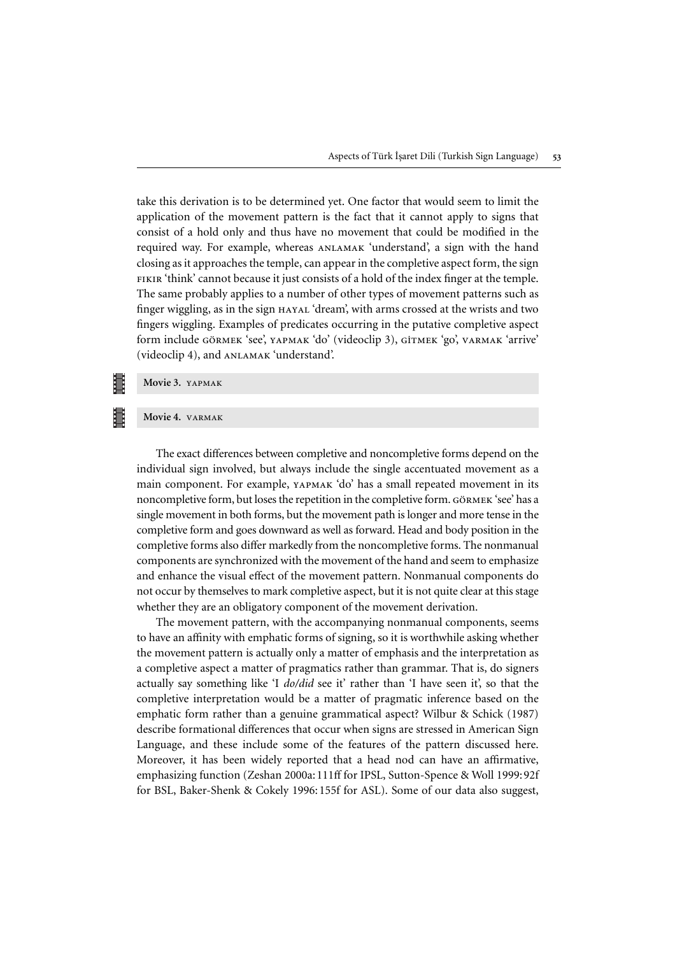take this derivation is to be determined yet. One factor that would seem to limit the application of the movement pattern is the fact that it cannot apply to signs that consist of a hold only and thus have no movement that could be modified in the required way. For example, whereas anlamak 'understand', a sign with the hand closing as it approaches the temple, can appear in the completive aspect form, the sign FIKIR 'think' cannot because it just consists of a hold of the index finger at the temple. The same probably applies to a number of other types of movement patterns such as finger wiggling, as in the sign HAYAL 'dream', with arms crossed at the wrists and two fingers wiggling. Examples of predicates occurring in the putative completive aspect form include GÖRMEK 'see', YAPMAK 'do' (videoclip 3), GİTMEK 'go', VARMAK 'arrive' (videoclip 4), and anlamak 'understand'.

Movie 3. yapmak

#### Movie 4. varmak

The exact differences between completive and noncompletive forms depend on the individual sign involved, but always include the single accentuated movement as a main component. For example, yapmak 'do' has a small repeated movement in its noncompletive form, but loses the repetition in the completive form. GÖRMEK 'see' has a single movement in both forms, but the movement path is longer and more tense in the completive form and goes downward as well as forward. Head and body position in the completive forms also differ markedly from the noncompletive forms. The nonmanual components are synchronized with the movement of the hand and seem to emphasize and enhance the visual effect of the movement pattern. Nonmanual components do not occur by themselves to mark completive aspect, but it is not quite clear at this stage whether they are an obligatory component of the movement derivation.

The movement pattern, with the accompanying nonmanual components, seems to have an affinity with emphatic forms of signing, so it is worthwhile asking whether the movement pattern is actually only a matter of emphasis and the interpretation as a completive aspect a matter of pragmatics rather than grammar. That is, do signers actually say something like 'I *do/did* see it' rather than 'I have seen it', so that the completive interpretation would be a matter of pragmatic inference based on the emphatic form rather than a genuine grammatical aspect? Wilbur & Schick (1987) describe formational differences that occur when signs are stressed in American Sign Language, and these include some of the features of the pattern discussed here. Moreover, it has been widely reported that a head nod can have an affirmative, emphasizing function (Zeshan 2000a:111ff for IPSL, Sutton-Spence & Woll 1999:92f Aspects of Tots Isper Dili (Turkia) Sign Languagy,<br>
since that derivation of the movement pattern is the fact that it cannot apply to signs that<br>consist of a bold only and thus base on movement at the radiation in the fin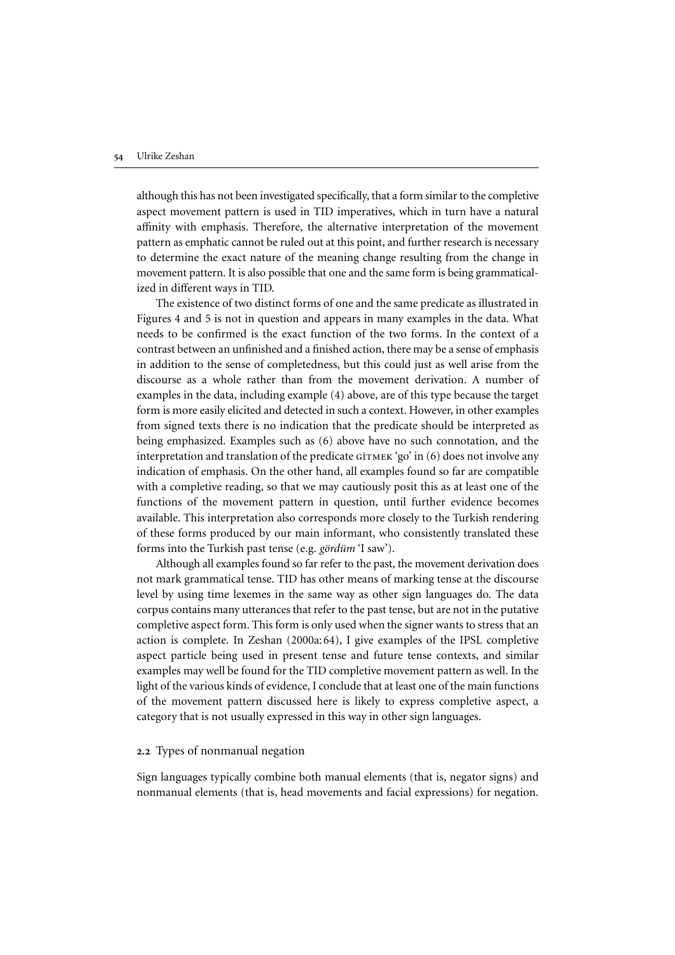although this has not been investigated specifically, that a form similar to the completive aspect movement pattern is used in TID imperatives, which in turn have a natural affinity with emphasis. Therefore, the alternative interpretation of the movement pattern as emphatic cannot be ruled out at this point, and further research is necessary to determine the exact nature of the meaning change resulting from the change in movement pattern. It is also possible that one and the same form is being grammaticalized in different ways in TID.

The existence of two distinct forms of one and the same predicate as illustrated in Figures 4 and 5 is not in question and appears in many examples in the data. What needs to be confirmed is the exact function of the two forms. In the context of a contrast between an unfinished and a finished action, there may be a sense of emphasis in addition to the sense of completedness, but this could just as well arise from the discourse as a whole rather than from the movement derivation. A number of examples in the data, including example (4) above, are of this type because the target form is more easily elicited and detected in such a context. However, in other examples from signed texts there is no indication that the predicate should be interpreted as being emphasized. Examples such as (6) above have no such connotation, and the interpretation and translation of the predicate  $G$ <sup>i</sup>n (6) does not involve any indication of emphasis. On the other hand, all examples found so far are compatible with a completive reading, so that we may cautiously posit this as at least one of the functions of the movement pattern in question, until further evidence becomes available. This interpretation also corresponds more closely to the Turkish rendering of these forms produced by our main informant, who consistently translated these forms into the Turkish past tense (e.g. *gördüm* 'I saw').

Although all examples found so far refer to the past, the movement derivation does not mark grammatical tense. TID has other means of marking tense at the discourse level by using time lexemes in the same way as other sign languages do. The data corpus contains many utterances that refer to the past tense, but are not in the putative completive aspect form. This form is only used when the signer wants to stress that an action is complete. In [Zeshan \(2000a:64\),](#page-31-0) I give examples of the IPSL completive aspect particle being used in present tense and future tense contexts, and similar examples may well be found for the TID completive movement pattern as well. In the light of the various kinds of evidence, I conclude that at least one of the main functions of the movement pattern discussed here is likely to express completive aspect, a category that is not usually expressed in this way in other sign languages.

#### 2.2 Types of nonmanual negation

Sign languages typically combine both manual elements (that is, negator signs) and nonmanual elements (that is, head movements and facial expressions) for negation.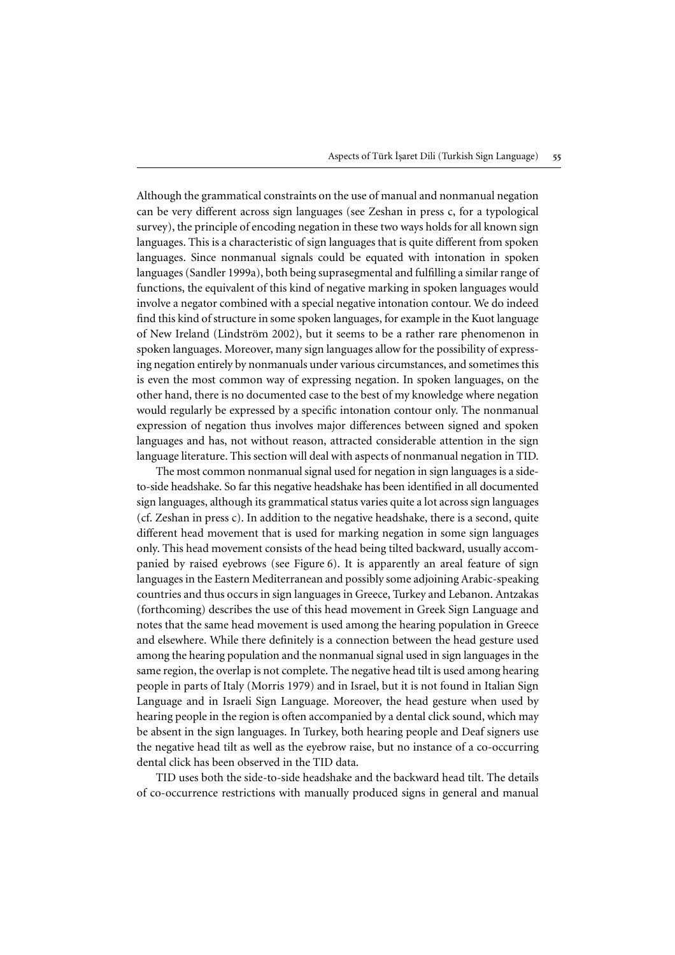Although the grammatical constraints on the use of manual and nonmanual negation can be very different across sign languages (see Zeshan in press c, for a typological survey), the principle of encoding negation in these two ways holds for all known sign languages. This is a characteristic of sign languages that is quite different from spoken languages. Since nonmanual signals could be equated with intonation in spoken languages (Sandler 1999a), both being suprasegmental and fulfilling a similar range of functions, the equivalent of this kind of negative marking in spoken languages would involve a negator combined with a special negative intonation contour. We do indeed find this kind of structure in some spoken languages, for example in the Kuot language of New Ireland (Lindström 2002), but it seems to be a rather rare phenomenon in Aspects of Türk İşaret Dili (Turkish Sign Language)<br>Although the grammatical constraints on the use of manual and nonmanual negation<br>can be very different across sign languages (see Zeshan in press c, for a typological<br>sur ing negation entirely by nonmanuals under various circumstances, and sometimes this is even the most common way of expressing negation. In spoken languages, on the other hand, there is no documented case to the best of my knowledge where negation would regularly be expressed by a specific intonation contour only. The nonmanual expression of negation thus involves major differences between signed and spoken languages and has, not without reason, attracted considerable attention in the sign language literature. This section will deal with aspects of nonmanual negation in TID. Aspects of Tork, have Dili (Turkish Sign Language)<br>Although the grammatical constraints on the use of manual and normanual regation<br>can be very different across sign languages (see Zeshan in press c, for a typological<br>sur

The most common nonmanual signal used for negation in sign languages is a sideto-side headshake. So far this negative headshake has been identified in all documented sign languages, although its grammatical status varies quite a lot across sign languages (cf. Zeshan in press c). In addition to the negative headshake, there is a second, quite different head movement that is used for marking negation in some sign languages only. This head movement consists of the head being tilted backward, usually accompanied by raised eyebrows (see Figure 6). It is apparently an areal feature of sign languages in the Eastern Mediterranean and possibly some adjoining Arabic-speaking countries and thus occurs in sign languages in Greece, Turkey and Lebanon. Antzakas (forthcoming) describes the use of this head movement in Greek Sign Language and notes that the same head movement is used among the hearing population in Greece and elsewhere. While there definitely is a connection between the head gesture used among the hearing population and the nonmanual signal used in sign languages in the same region, the overlap is not complete. The negative head tilt is used among hearing people in parts of Italy [\(Morris 1979](#page-31-0)) and in Israel, but it is not found in Italian Sign hearing people in the region is often accompanied by a dental click sound, which may be absent in the sign languages. In Turkey, both hearing people and Deaf signers use the negative head tilt as well as the eyebrow raise, but no instance of a co-occurring dental click has been observed in the TID data.

TID uses both the side-to-side headshake and the backward head tilt. The details of co-occurrence restrictions with manually produced signs in general and manual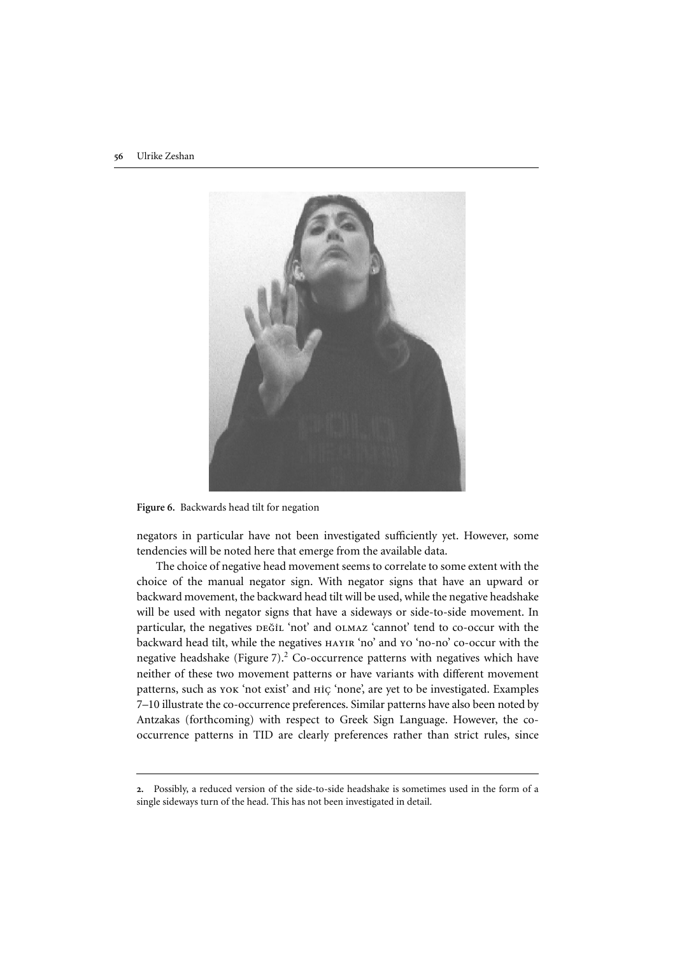

Figure 6. Backwards head tilt for negation

negators in particular have not been investigated sufficiently yet. However, some tendencies will be noted here that emerge from the available data.

The choice of negative head movement seems to correlate to some extent with the choice of the manual negator sign. With negator signs that have an upward or backward movement, the backward head tilt will be used, while the negative headshake will be used with negator signs that have a sideways or side-to-side movement. In particular, the negatives  $DE\ddot{o}$  inot' and olmaz 'cannot' tend to co-occur with the backward head tilt, while the negatives hayir 'no' and yo 'no-no' co-occur with the negative headshake (Figure  $7$ ).<sup>2</sup> Co-occurrence patterns with negatives which have neither of these two movement patterns or have variants with different movement patterns, such as yok 'not exist' and Hiç 'none', are yet to be investigated. Examples 7–10 illustrate the co-occurrence preferences. Similar patterns have also been noted by Antzakas (forthcoming) with respect to Greek Sign Language. However, the cooccurrence patterns in TID are clearly preferences rather than strict rules, since

<sup>2</sup>. Possibly, a reduced version of the side-to-side headshake is sometimes used in the form of a single sideways turn of the head. This has not been investigated in detail.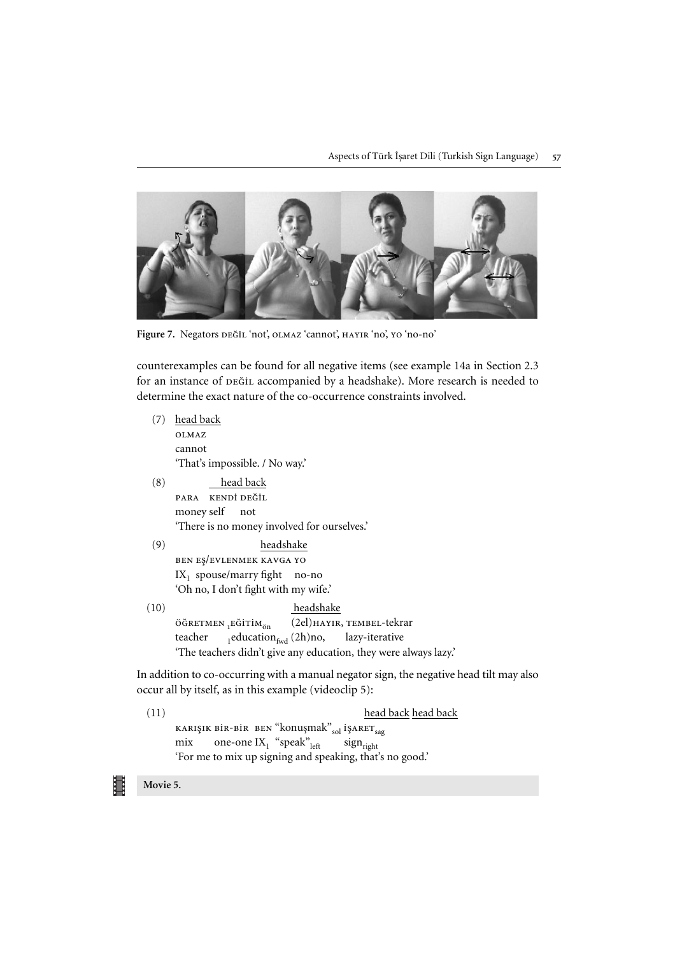

Figure 7. Negators değil 'not', olmaz 'cannot', hayir 'no', yo 'no-no'

counterexamples can be found for all negative items (see example 14a in Section 2.3 for an instance of  $DE\ddot{o}$  in accompanied by a headshake). More research is needed to determine the exact nature of the co-occurrence constraints involved.

- (7) head back olmaz cannot 'That's impossible. / No way.'
- (8) head back head back<br>Para Kendi değil money self not 'There is no money involved for ourselves.'
- (9) headshake ben es/evlenmek kavga yo  $IX_1$  spouse/marry fight no-no 'Oh no, I don't fight with my wife.'
- (10) headshake ÖĞRETMEN <sub>1</sub>EĞİTİM<sub>ön</sub> (2el) HAYIR, TEMBEL-tekrar teacher  $_{1}$ education<sub>fwd</sub> (2h)no, lazy-iterative 'The teachers didn't give any education, they were always lazy.'

In addition to co-occurring with a manual negator sign, the negative head tilt may also occur all by itself, as in this example (videoclip 5):

(11) head back head back  $KARI$ şık bir-bir ben "konuşmak" $_{sol}$  işaret $_{sag}$ mix one-one  $IX_1$  "speak"<sub>left</sub> sign<sub>right</sub> 'For me to mix up signing and speaking, that's no good.'

Movie 5.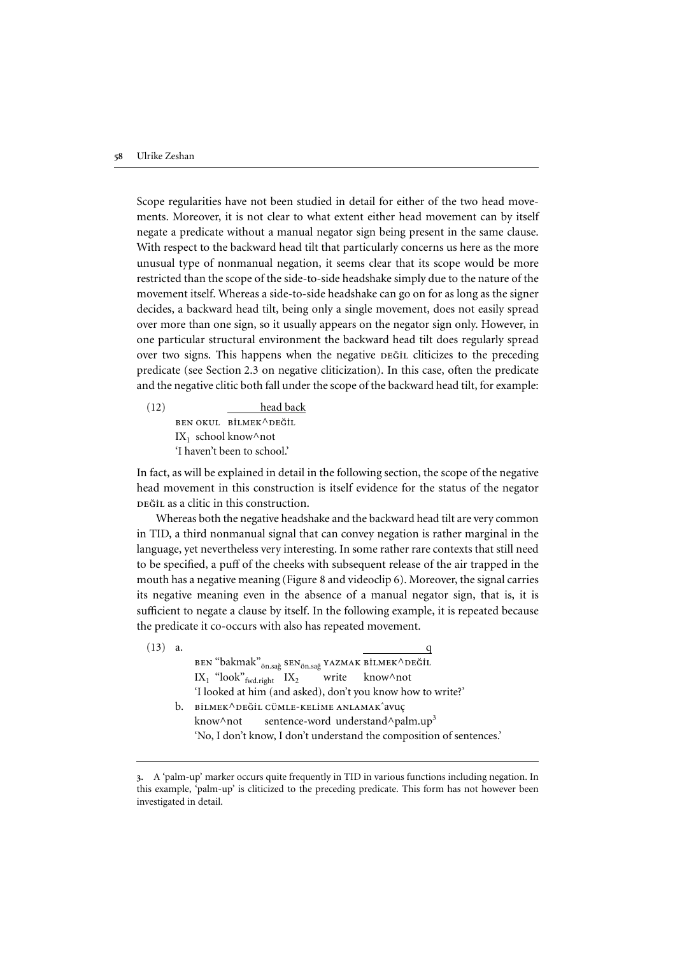Scope regularities have not been studied in detail for either of the two head movements. Moreover, it is not clear to what extent either head movement can by itself negate a predicate without a manual negator sign being present in the same clause. With respect to the backward head tilt that particularly concerns us here as the more unusual type of nonmanual negation, it seems clear that its scope would be more restricted than the scope of the side-to-side headshake simply due to the nature of the movement itself. Whereas a side-to-side headshake can go on for as long as the signer decides, a backward head tilt, being only a single movement, does not easily spread over more than one sign, so it usually appears on the negator sign only. However, in one particular structural environment the backward head tilt does regularly spread over two signs. This happens when the negative  $\overline{DEGL}$  cliticizes to the preceding predicate (see Section 2.3 on negative cliticization). In this case, often the predicate and the negative clitic both fall under the scope of the backward head tilt, for example:

(12) head back<br>BEN OKUL BILMEK<sup>A</sup>DEĞİL IX<sub>1</sub> school know $\wedge$ not 'I haven't been to school.'

In fact, as will be explained in detail in the following section, the scope of the negative head movement in this construction is itself evidence for the status of the negator DEĞİL as a clitic in this construction.

Whereas both the negative headshake and the backward head tilt are very common in TID, a third nonmanual signal that can convey negation is rather marginal in the language, yet nevertheless very interesting. In some rather rare contexts that still need to be specified, a puff of the cheeks with subsequent release of the air trapped in the mouth has a negative meaning (Figure 8 and videoclip 6). Moreover, the signal carries its negative meaning even in the absence of a manual negator sign, that is, it is sufficient to negate a clause by itself. In the following example, it is repeated because the predicate it co-occurs with also has repeated movement.

| $(13)$ a. |                                                                                                                            |  |  |
|-----------|----------------------------------------------------------------------------------------------------------------------------|--|--|
|           | BEN "bakmak" $_{\text{on}, \text{sa{\textsc{g}}}}$ SEN $_{\text{on}, \text{sa{\textsc{g}}}}$ YAZMAK BİLMEK $^\wedge$ DEĞİL |  |  |
|           | $IX_1$ "look" <sub>fwd.right</sub> $IX_2$ write know ^ not                                                                 |  |  |
|           | 'I looked at him (and asked), don't you know how to write?'                                                                |  |  |
|           | b. BİLMEK <sup>A</sup> DEĞİL CÜMLE-KELİME ANLAMAK'AVUÇ                                                                     |  |  |
|           | know^not sentence-word understand^palm.up <sup>3</sup>                                                                     |  |  |
|           | 'No, I don't know, I don't understand the composition of sentences.'                                                       |  |  |
|           |                                                                                                                            |  |  |

<sup>3</sup>. A 'palm-up' marker occurs quite frequently in TID in various functions including negation. In this example, 'palm-up' is cliticized to the preceding predicate. This form has not however been investigated in detail.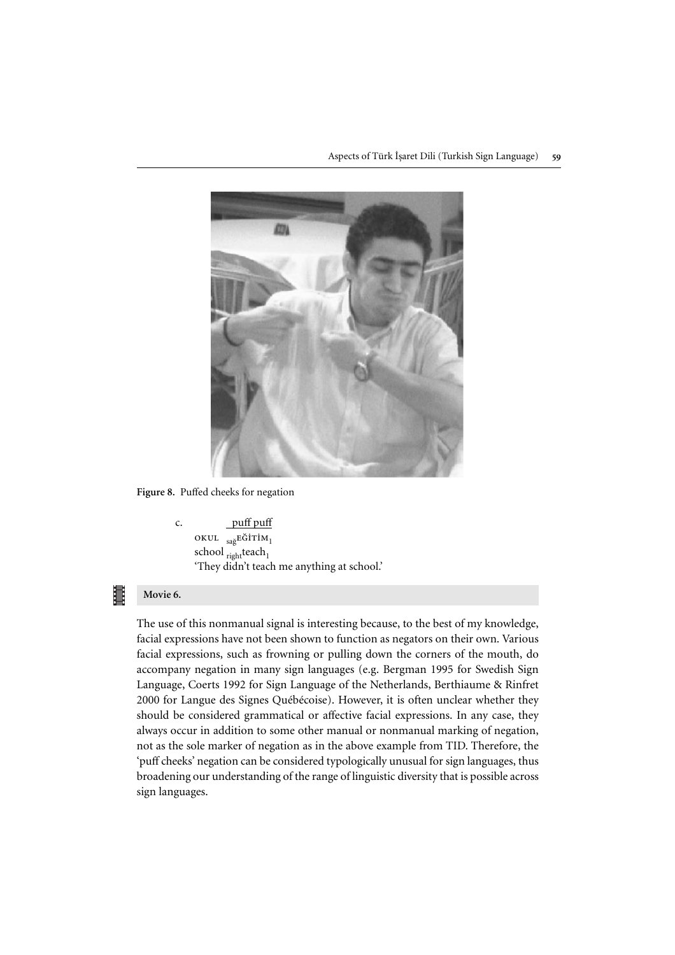

#### Figure 8. Puffed cheeks for negation

c. puff puff

 $OKUL$ <sub>sağ</sub>EğİTİM<sub>1</sub> school  $_{\text{right}}$ teach<sub>1</sub> 'They didn't teach me anything at school.'

### Movie 6.

The use of this nonmanual signal is interesting because, to the best of my knowledge, facial expressions have not been shown to function as negators on their own. Various facial expressions, such as frowning or pulling down the corners of the mouth, do accompany negation in many sign languages (e.g. Bergman 1995 for Swedish Sign Language, [Coerts 1992](#page-30-0) for Sign Language of the Netherlands, [Berthiaume & Rinfret](#page-30-0) should be considered grammatical or affective facial expressions. In any case, they always occur in addition to some other manual or nonmanual marking of negation, not as the sole marker of negation as in the above example from TID. Therefore, the 'puff cheeks' negation can be considered typologically unusual for sign languages, thus broadening our understanding of the range of linguistic diversity that is possible across sign languages.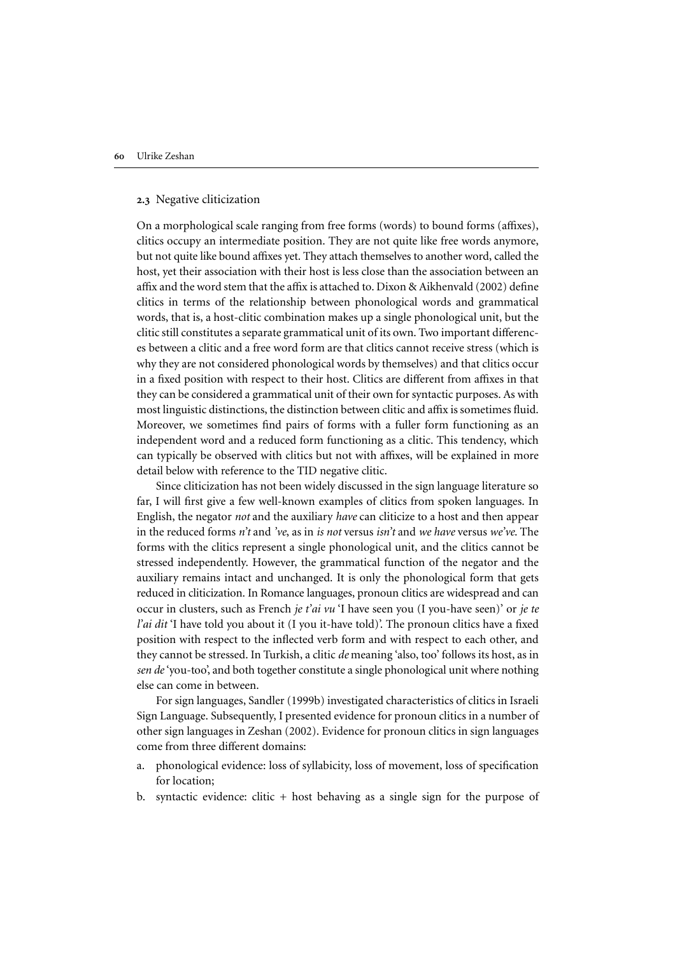#### 2.3 Negative cliticization

On a morphological scale ranging from free forms (words) to bound forms (affixes), clitics occupy an intermediate position. They are not quite like free words anymore, but not quite like bound affixes yet. They attach themselves to another word, called the host, yet their association with their host is less close than the association between an affix and the word stem that the affix is attached to. [Dixon & Aikhenvald \(2002\)](#page-30-0) define clitics in terms of the relationship between phonological words and grammatical words, that is, a host-clitic combination makes up a single phonological unit, but the clitic still constitutes a separate grammatical unit of its own. Two important differences between a clitic and a free word form are that clitics cannot receive stress (which is why they are not considered phonological words by themselves) and that clitics occur in a fixed position with respect to their host. Clitics are different from affixes in that they can be considered a grammatical unit of their own for syntactic purposes. As with most linguistic distinctions, the distinction between clitic and affix is sometimes fluid. Moreover, we sometimes find pairs of forms with a fuller form functioning as an independent word and a reduced form functioning as a clitic. This tendency, which can typically be observed with clitics but not with affixes, will be explained in more detail below with reference to the TID negative clitic. 60. Ulribe Zeshun<br>
23 Negative diticization<br>
20 na morphological scale ranging from the chorens (words) to bound forms (affwas)<br>
Units of coupy an intermediate position. They are not quite like Ire words anymore,<br>
but not 60 Ulrike Zeshan<br>
2.3 Negative cliticization<br>
2.3 Negative cliticization<br>
2.3 Negative cliticization<br>
2.3 neutro different domains: yet.<br>
2.5 host, we their association with their<br>
4.6 host, yet their association with the

Since cliticization has not been widely discussed in the sign language literature so far, I will first give a few well-known examples of clitics from spoken languages. In English, the negator *not* and the auxiliary *have* can cliticize to a host and then appear in the reduced forms *n't* and *'ve*, as in *is not* versus *isn't* and *we have* versus *we've*. The forms with the clitics represent a single phonological unit, and the clitics cannot be stressed independently. However, the grammatical function of the negator and the auxiliary remains intact and unchanged. It is only the phonological form that gets reduced in cliticization. In Romance languages, pronoun clitics are widespread and can occur in clusters, such as French *je t'ai vu* 'I have seen you (I you-have seen)' or *je te l'ai dit* 'I have told you about it (I you it-have told)'. The pronoun clitics have a fixed position with respect to the inflected verb form and with respect to each other, and they cannot be stressed. In Turkish, a clitic *de* meaning 'also, too' follows its host, as in *sen de* 'you-too', and both together constitute a single phonological unit where nothing else can come in between.

For sign languages, [Sandler \(1999b\)](#page-31-0) investigated characteristics of clitics in Israeli other sign languages in [Zeshan \(2002\)](#page-31-0). Evidence for pronoun clitics in sign languages

- a. phonological evidence: loss of syllabicity, loss of movement, loss of specification for location;
- b. syntactic evidence: clitic + host behaving as a single sign for the purpose of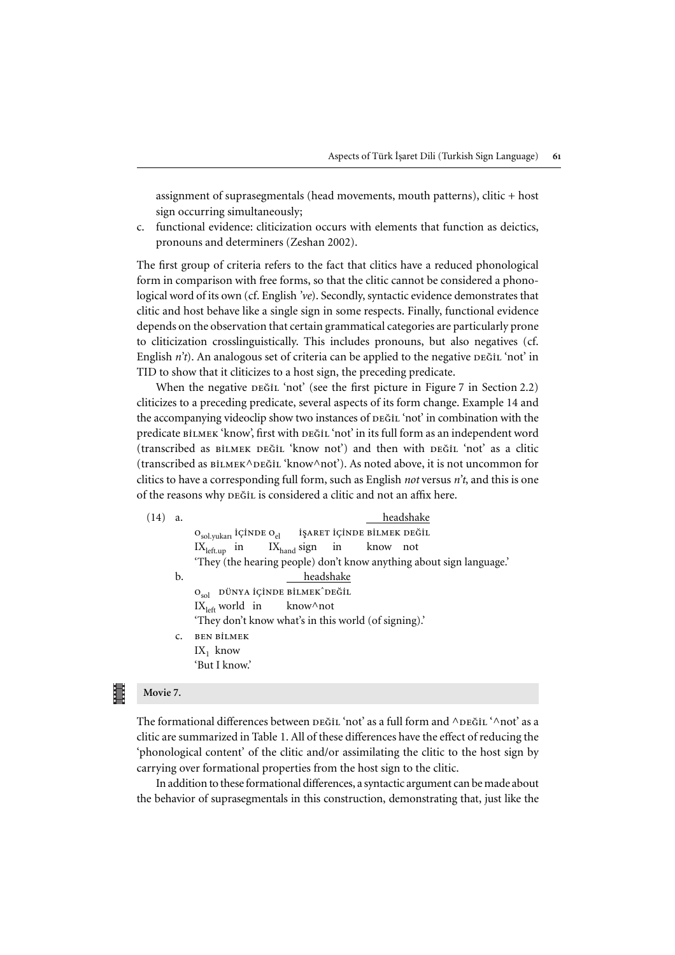assignment of suprasegmentals (head movements, mouth patterns), clitic + host sign occurring simultaneously;

c. functional evidence: cliticization occurs with elements that function as deictics, pronouns and determiners [\(Zeshan 2002](#page-31-0)).

The first group of criteria refers to the fact that clitics have a reduced phonological form in comparison with free forms, so that the clitic cannot be considered a phonological word of its own (cf. English *'ve*). Secondly, syntactic evidence demonstrates that clitic and host behave like a single sign in some respects. Finally, functional evidence depends on the observation that certain grammatical categories are particularly prone to cliticization crosslinguistically. This includes pronouns, but also negatives (cf. English  $n't$ ). An analogous set of criteria can be applied to the negative  $\Delta E$ inot' in TID to show that it cliticizes to a host sign, the preceding predicate.

When the negative  $DEGE$  'not' (see the first picture in Figure 7 in Section 2.2) cliticizes to a preceding predicate, several aspects of its form change. Example 14 and the accompanying videoclip show two instances of  $p$ Eğit 'not' in combination with the predicate biLMEK 'know', first with DEGIL 'not' in its full form as an independent word (transcribed as  $B$ ilmek peğil 'know not') and then with peğil 'not' as a clitic (transcribed as BILMEK^DEĞIL 'know^not'). As noted above, it is not uncommon for clitics to have a corresponding full form, such as English *not* versus *n't*, and this is one of the reasons why peğit is considered a clitic and not an affix here.

| a. | headshake                                                            |
|----|----------------------------------------------------------------------|
|    | $O_{sol, vukari}$ İÇİNDE $O_{el}$ işaret İçinde bilmek değil         |
|    | $IXleft.up$ in $IXhand sign$ in know not                             |
|    | 'They (the hearing people) don't know anything about sign language.' |
| b. | headshake                                                            |
|    | $O_{sol}$ DÜNYA İÇİNDE BİLMEK $\hat{O}$ DEĞİL                        |
|    | $IXleft$ world in know not                                           |
|    | 'They don't know what's in this world (of signing).'                 |
| c. | <b>BEN BİLMEK</b>                                                    |
|    | $IX_1$ know                                                          |
|    | 'But I know.'                                                        |
|    |                                                                      |

#### Movie 7.

Ħ

The formational differences between  $\Delta$  pegit 'not' as a full form and ^pegit. '^not' as a clitic are summarized in Table 1. All of these differences have the effect of reducing the 'phonological content' of the clitic and/or assimilating the clitic to the host sign by carrying over formational properties from the host sign to the clitic.

In addition to these formational differences, a syntactic argument can be made about the behavior of suprasegmentals in this construction, demonstrating that, just like the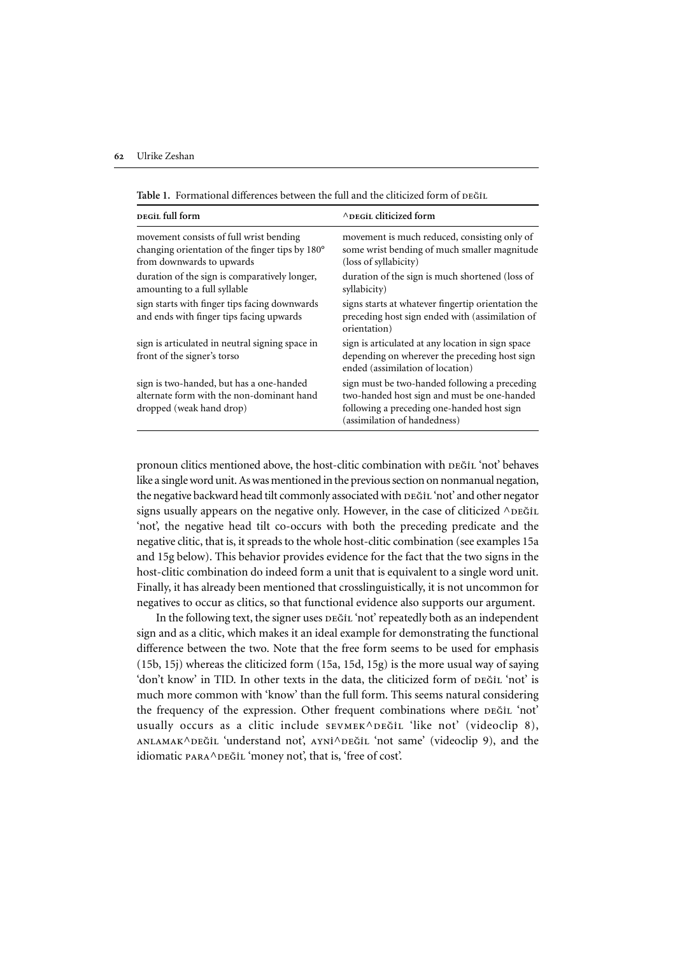| DEGIL full form                                                                                                                     | $\wedge$ pegit, cliticized form                                                                                                                                            |
|-------------------------------------------------------------------------------------------------------------------------------------|----------------------------------------------------------------------------------------------------------------------------------------------------------------------------|
| movement consists of full wrist bending<br>changing orientation of the finger tips by 180 <sup>°</sup><br>from downwards to upwards | movement is much reduced, consisting only of<br>some wrist bending of much smaller magnitude<br>(loss of syllabicity)                                                      |
| duration of the sign is comparatively longer,<br>amounting to a full syllable                                                       | duration of the sign is much shortened (loss of<br>syllabicity)                                                                                                            |
| sign starts with finger tips facing downwards<br>and ends with finger tips facing upwards                                           | signs starts at whatever fingertip orientation the<br>preceding host sign ended with (assimilation of<br>orientation)                                                      |
| sign is articulated in neutral signing space in<br>front of the signer's torso                                                      | sign is articulated at any location in sign space<br>depending on wherever the preceding host sign<br>ended (assimilation of location)                                     |
| sign is two-handed, but has a one-handed<br>alternate form with the non-dominant hand<br>dropped (weak hand drop)                   | sign must be two-handed following a preceding<br>two-handed host sign and must be one-handed<br>following a preceding one-handed host sign<br>(assimilation of handedness) |

Table 1. Formational differences between the full and the cliticized form of  $p\in\mathcal{C}$ 

pronoun clitics mentioned above, the host-clitic combination with  $\overline{DE}$  and 'behaves' like a single word unit. As was mentioned in the previous section on nonmanual negation, the negative backward head tilt commonly associated with  $\overline{DE}$  inot' and other negator signs usually appears on the negative only. However, in the case of cliticized  $^\wedge$ DEGiL 'not', the negative head tilt co-occurs with both the preceding predicate and the negative clitic, that is, it spreads to the whole host-clitic combination (see examples 15a and 15g below). This behavior provides evidence for the fact that the two signs in the host-clitic combination do indeed form a unit that is equivalent to a single word unit. Finally, it has already been mentioned that crosslinguistically, it is not uncommon for negatives to occur as clitics, so that functional evidence also supports our argument.

In the following text, the signer uses  $\Delta$  beginning the set of repeatedly both as an independent sign and as a clitic, which makes it an ideal example for demonstrating the functional difference between the two. Note that the free form seems to be used for emphasis (15b, 15j) whereas the cliticized form (15a, 15d, 15g) is the more usual way of saying 'don't know' in TID. In other texts in the data, the cliticized form of pegin 'not' is much more common with 'know' than the full form. This seems natural considering the frequency of the expression. Other frequent combinations where  $\Delta$  is 'not' usually occurs as a clitic include  $\text{sevMEK} \triangle \text{DEGL}$  'like not' (videoclip 8), anlamak^değil 'understand not', ayni^değil 'not same' (videoclip 9), and the idiomatic PARA^DEĞİL 'money not', that is, 'free of cost'.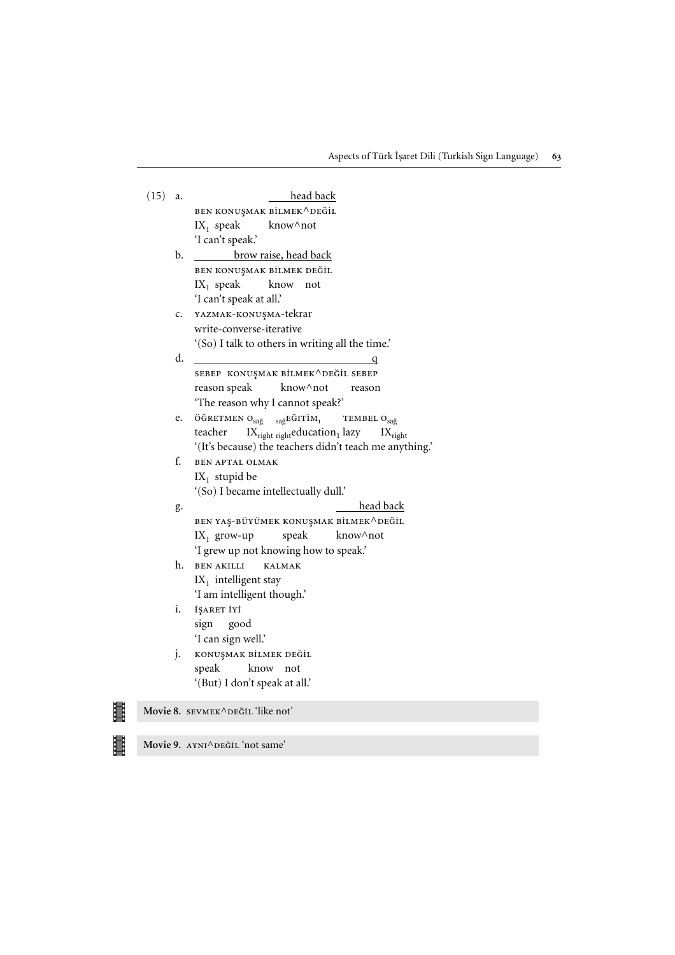| (15)                             | a. | head back                                                                                        |  |  |  |  |
|----------------------------------|----|--------------------------------------------------------------------------------------------------|--|--|--|--|
|                                  |    | BEN KONUŞMAK BİLMEK $^{\wedge}$ DEĞİL                                                            |  |  |  |  |
|                                  |    | $IX_1$ speak<br>know <sup><math>\wedge</math>not</sup>                                           |  |  |  |  |
|                                  |    | 'I can't speak.'                                                                                 |  |  |  |  |
|                                  | b. | brow raise, head back                                                                            |  |  |  |  |
|                                  |    | BEN KONUŞMAK BİLMEK DEĞİL                                                                        |  |  |  |  |
|                                  |    | $IX_1$ speak<br>know<br>not                                                                      |  |  |  |  |
|                                  |    | 'I can't speak at all.'                                                                          |  |  |  |  |
|                                  | c. | YAZMAK-KONUŞMA-tekrar                                                                            |  |  |  |  |
|                                  |    | write-converse-iterative                                                                         |  |  |  |  |
|                                  |    | '(So) I talk to others in writing all the time.'                                                 |  |  |  |  |
|                                  | d. | ₫                                                                                                |  |  |  |  |
|                                  |    | SEBEP KONUŞMAK BİLMEK <sup>A</sup> DEĞİL SEBEP                                                   |  |  |  |  |
|                                  |    | reason speak<br>know^not<br>reason                                                               |  |  |  |  |
|                                  |    | 'The reason why I cannot speak?'                                                                 |  |  |  |  |
|                                  | e. | $_{\text{sa\check{g}}}$ EĞITİM <sub>1</sub> TEMBEL O <sub>sağ</sub><br>ÖĞRETMEN O <sub>sağ</sub> |  |  |  |  |
|                                  |    | IX <sub>right right</sub> education <sub>1</sub> lazy<br>teacher<br>$IX_{right}$                 |  |  |  |  |
|                                  |    | '(It's because) the teachers didn't teach me anything.'                                          |  |  |  |  |
|                                  | f. | <b>BEN APTAL OLMAK</b>                                                                           |  |  |  |  |
|                                  |    | $IX_1$ stupid be                                                                                 |  |  |  |  |
|                                  |    | '(So) I became intellectually dull.'                                                             |  |  |  |  |
|                                  | g. | head back                                                                                        |  |  |  |  |
|                                  |    | BEN YAŞ-BÜYÜMEK KONUŞMAK BİLMEK <sup>A</sup> DEĞİL                                               |  |  |  |  |
|                                  |    | speak<br>know^not<br>$IX_1$ grow-up                                                              |  |  |  |  |
|                                  |    | 'I grew up not knowing how to speak.'                                                            |  |  |  |  |
|                                  | h. | <b>BEN AKILLI</b><br><b>KALMAK</b>                                                               |  |  |  |  |
|                                  |    | $IX1$ intelligent stay                                                                           |  |  |  |  |
|                                  |    | 'I am intelligent though.'                                                                       |  |  |  |  |
|                                  | i. | İŞARET İYİ                                                                                       |  |  |  |  |
|                                  |    | sign<br>good                                                                                     |  |  |  |  |
|                                  |    | 'I can sign well.'                                                                               |  |  |  |  |
|                                  | j. | KONUŞMAK BİLMEK DEĞİL                                                                            |  |  |  |  |
|                                  |    | speak<br>know<br>not                                                                             |  |  |  |  |
|                                  |    | '(But) I don't speak at all.'                                                                    |  |  |  |  |
| Movie 8. SEVMEK^DEĞİL 'like not' |    |                                                                                                  |  |  |  |  |
|                                  |    |                                                                                                  |  |  |  |  |

Movie 9. AYNI^DEĞİL 'not same'

Ï

**THE**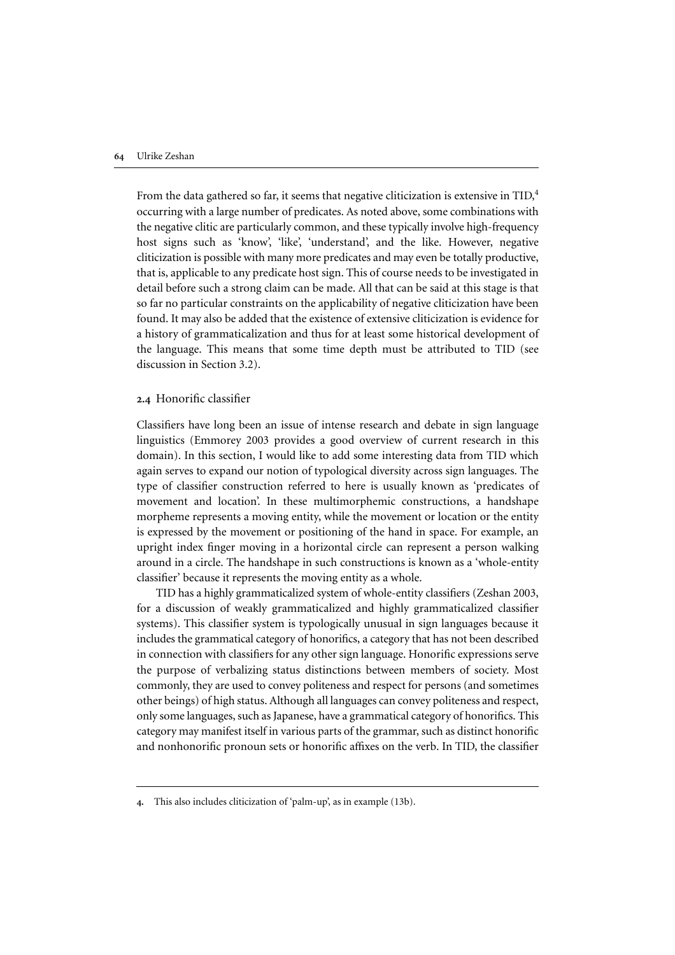From the data gathered so far, it seems that negative cliticization is extensive in  $TID$ ,  $4$ occurring with a large number of predicates. As noted above, some combinations with the negative clitic are particularly common, and these typically involve high-frequency host signs such as 'know', 'like', 'understand', and the like. However, negative cliticization is possible with many more predicates and may even be totally productive, that is, applicable to any predicate host sign. This of course needs to be investigated in detail before such a strong claim can be made. All that can be said at this stage is that so far no particular constraints on the applicability of negative cliticization have been found. It may also be added that the existence of extensive cliticization is evidence for a history of grammaticalization and thus for at least some historical development of the language. This means that some time depth must be attributed to TID (see discussion in Section 3.2).

#### 2.4 Honorific classifier

Classifiers have long been an issue of intense research and debate in sign language linguistics ([Emmorey 2003](#page-30-0) provides a good overview of current research in this domain). In this section, I would like to add some interesting data from TID which again serves to expand our notion of typological diversity across sign languages. The type of classifier construction referred to here is usually known as 'predicates of movement and location'. In these multimorphemic constructions, a handshape morpheme represents a moving entity, while the movement or location or the entity is expressed by the movement or positioning of the hand in space. For example, an upright index finger moving in a horizontal circle can represent a person walking around in a circle. The handshape in such constructions is known as a 'whole-entity classifier' because it represents the moving entity as a whole.

TID has a highly grammaticalized system of whole-entity classifiers (Zeshan 2003, for a discussion of weakly grammaticalized and highly grammaticalized classifier systems). This classifier system is typologically unusual in sign languages because it includes the grammatical category of honorifics, a category that has not been described in connection with classifiers for any other sign language. Honorific expressions serve the purpose of verbalizing status distinctions between members of society. Most commonly, they are used to convey politeness and respect for persons (and sometimes other beings) of high status. Although all languages can convey politeness and respect, only some languages, such as Japanese, have a grammatical category of honorifics. This category may manifest itself in various parts of the grammar, such as distinct honorific and nonhonorific pronoun sets or honorific affixes on the verb. In TID, the classifier

<sup>4</sup>. This also includes cliticization of 'palm-up', as in example (13b).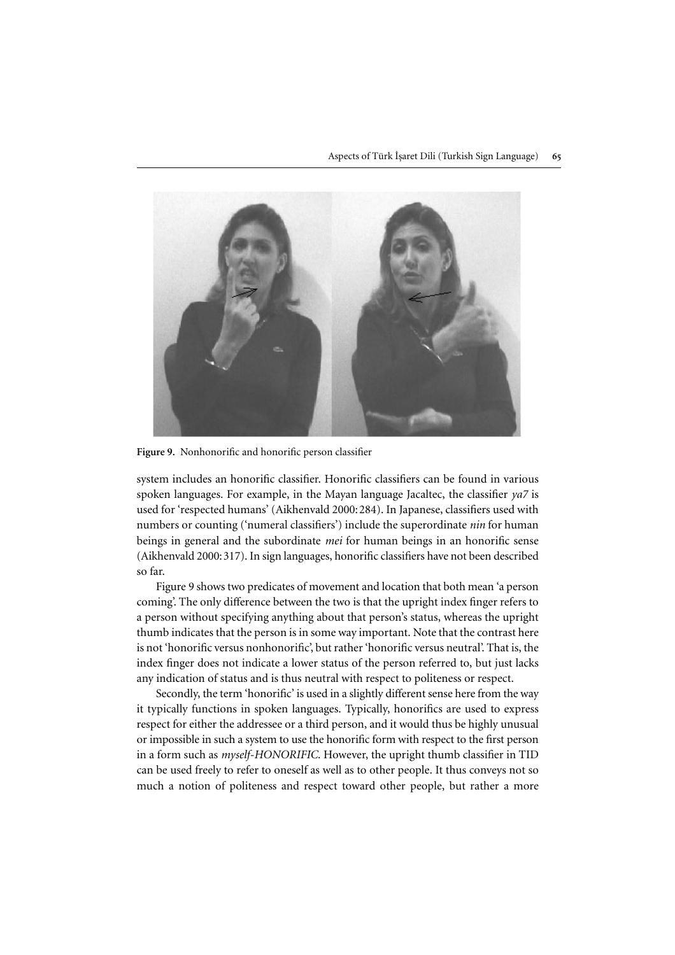

Figure 9. Nonhonorific and honorific person classifier

system includes an honorific classifier. Honorific classifiers can be found in various spoken languages. For example, in the Mayan language Jacaltec, the classifier *ya7* is used for 'respected humans' ([Aikhenvald 2000:284](#page-30-0)). In Japanese, classifiers used with numbers or counting ('numeral classifiers') include the superordinate *nin* for human beings in general and the subordinate *mei* for human beings in an honorific sense [\(Aikhenvald 2000:317](#page-30-0)). In sign languages, honorific classifiers have not been described so far.

Figure 9 shows two predicates of movement and location that both mean 'a person coming'. The only difference between the two is that the upright index finger refers to a person without specifying anything about that person's status, whereas the upright thumb indicates that the person is in some way important. Note that the contrast here is not 'honorific versus nonhonorific', but rather 'honorific versus neutral'. That is, the index finger does not indicate a lower status of the person referred to, but just lacks any indication of status and is thus neutral with respect to politeness or respect.

Secondly, the term 'honorific' is used in a slightly different sense here from the way it typically functions in spoken languages. Typically, honorifics are used to express respect for either the addressee or a third person, and it would thus be highly unusual or impossible in such a system to use the honorific form with respect to the first person in a form such as *myself-HONORIFIC*. However, the upright thumb classifier in TID can be used freely to refer to oneself as well as to other people. It thus conveys not so much a notion of politeness and respect toward other people, but rather a more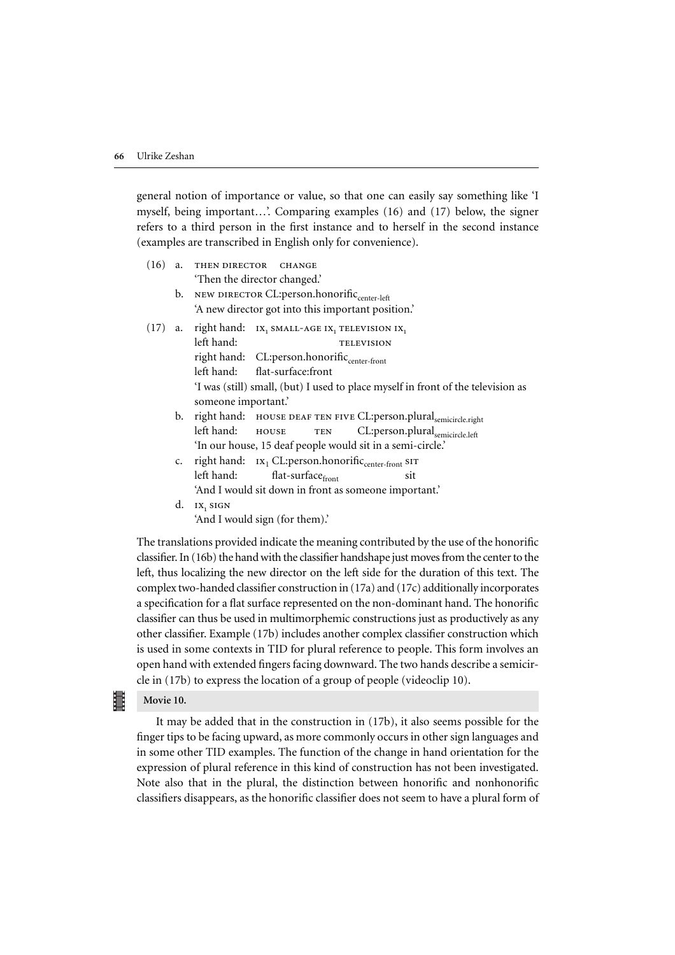general notion of importance or value, so that one can easily say something like 'I myself, being important…'. Comparing examples (16) and (17) below, the signer refers to a third person in the first instance and to herself in the second instance (examples are transcribed in English only for convenience).

- (16) a. then director change 'Then the director changed.' b. NEW DIRECTOR CL:person.honorific<sub>center-left</sub> 'A new director got into this important position.' (17) a. right hand:  $IX_1$  SMALL-AGE IX<sub>1</sub> TELEVISION IX<sub>1</sub> left hand: television<br>| right hand: CL:person.honorific<sub>center-front</sub> left hand: flat-surface:front 'I was (still) small, (but) I used to place myself in front of the television as someone important.' b. right hand: HOUSE DEAF TEN FIVE CL:person.pluralsemicircle.right
	- left hand: HOUSE TEN CL:person.plural<sub>semicircle.left</sub> 'In our house, 15 deaf people would sit in a semi-circle.'
	- c. right hand:  $IX_1$  CL:person.honorific<sub>center-front</sub> SIT  $left hand:$  flat-surface $f_{front}$  sit 'And I would sit down in front as someone important.'
	- d. IX. SIGN 'And I would sign (for them).'

The translations provided indicate the meaning contributed by the use of the honorific classifier. In (16b) the hand with the classifier handshape just moves from the center to the left, thus localizing the new director on the left side for the duration of this text. The complex two-handed classifier construction in (17a) and (17c) additionally incorporates a specification for a flat surface represented on the non-dominant hand. The honorific classifier can thus be used in multimorphemic constructions just as productively as any other classifier. Example (17b) includes another complex classifier construction which is used in some contexts in TID for plural reference to people. This form involves an open hand with extended fingers facing downward. The two hands describe a semicircle in (17b) to express the location of a group of people (videoclip 10).

H

#### Movie 10.

It may be added that in the construction in (17b), it also seems possible for the finger tips to be facing upward, as more commonly occurs in other sign languages and in some other TID examples. The function of the change in hand orientation for the expression of plural reference in this kind of construction has not been investigated. Note also that in the plural, the distinction between honorific and nonhonorific classifiers disappears, as the honorific classifier does not seem to have a plural form of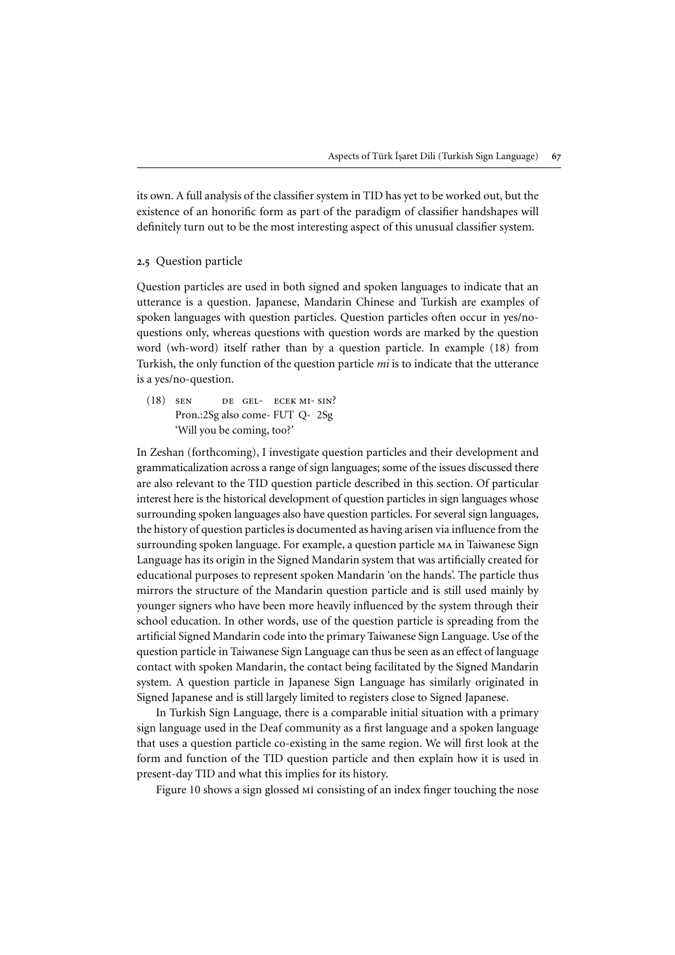its own. A full analysis of the classifier system in TID has yet to be worked out, but the existence of an honorific form as part of the paradigm of classifier handshapes will definitely turn out to be the most interesting aspect of this unusual classifier system.

#### 2.5 Question particle

Question particles are used in both signed and spoken languages to indicate that an utterance is a question. Japanese, Mandarin Chinese and Turkish are examples of spoken languages with question particles. Question particles often occur in yes/noquestions only, whereas questions with question words are marked by the question word (wh-word) itself rather than by a question particle. In example (18) from Turkish, the only function of the question particle *mi* is to indicate that the utterance is a yes/no-question.

(18) sen de gel- ecek mi- sin? Pron.:2Sg also come- FUT Q- 2Sg 'Will you be coming, too?'

In Zeshan (forthcoming), I investigate question particles and their development and grammaticalization across a range of sign languages; some of the issues discussed there are also relevant to the TID question particle described in this section. Of particular interest here is the historical development of question particles in sign languages whose surrounding spoken languages also have question particles. For several sign languages, the history of question particles is documented as having arisen via influence from the surrounding spoken language. For example, a question particle ma in Taiwanese Sign Language has its origin in the Signed Mandarin system that was artificially created for educational purposes to represent spoken Mandarin 'on the hands'. The particle thus mirrors the structure of the Mandarin question particle and is still used mainly by younger signers who have been more heavily influenced by the system through their school education. In other words, use of the question particle is spreading from the artificial Signed Mandarin code into the primary Taiwanese Sign Language. Use of the question particle in Taiwanese Sign Language can thus be seen as an effect of language contact with spoken Mandarin, the contact being facilitated by the Signed Mandarin system. A question particle in Japanese Sign Language has similarly originated in Signed Japanese and is still largely limited to registers close to Signed Japanese.

In Turkish Sign Language, there is a comparable initial situation with a primary sign language used in the Deaf community as a first language and a spoken language that uses a question particle co-existing in the same region. We will first look at the form and function of the TID question particle and then explain how it is used in present-day TID and what this implies for its history.

Figure 10 shows a sign glossed mi consisting of an index finger touching the nose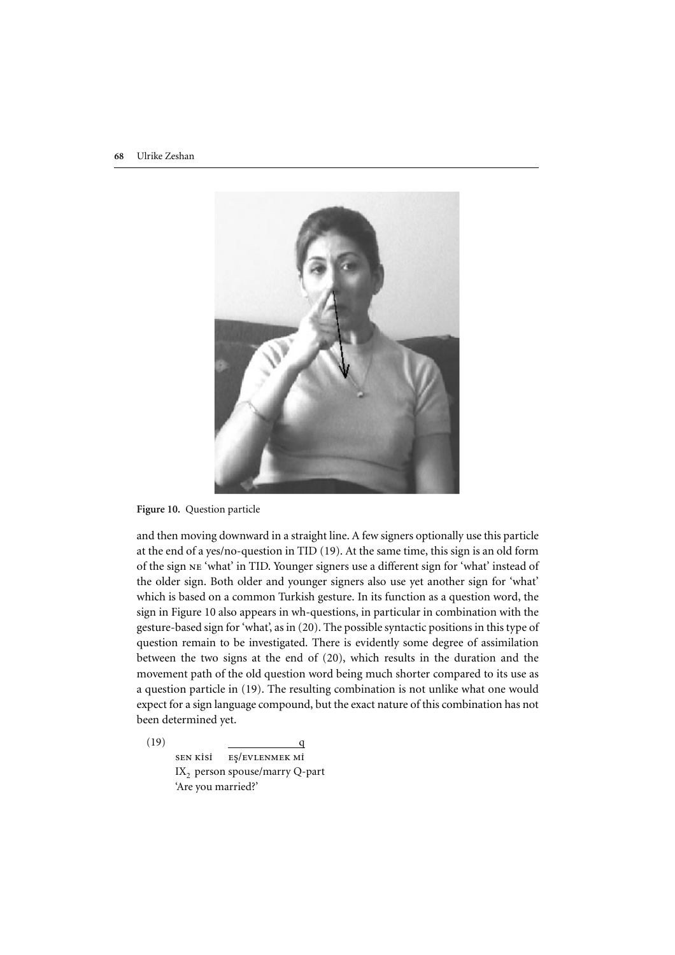

Figure 10. Question particle

and then moving downward in a straight line. A few signers optionally use this particle at the end of a yes/no-question in TID (19). At the same time, this sign is an old form of the sign ne 'what' in TID. Younger signers use a different sign for 'what' instead of the older sign. Both older and younger signers also use yet another sign for 'what' which is based on a common Turkish gesture. In its function as a question word, the sign in Figure 10 also appears in wh-questions, in particular in combination with the gesture-based sign for 'what', as in (20). The possible syntactic positions in this type of question remain to be investigated. There is evidently some degree of assimilation between the two signs at the end of (20), which results in the duration and the movement path of the old question word being much shorter compared to its use as a question particle in (19). The resulting combination is not unlike what one would expect for a sign language compound, but the exact nature of this combination has not been determined yet.

 $(19)$ <br>sen kisi SEN KİSİ EŞ/EVLENMEK Mİ q IX<sub>2</sub> person spouse/marry Q-part 'Are you married?'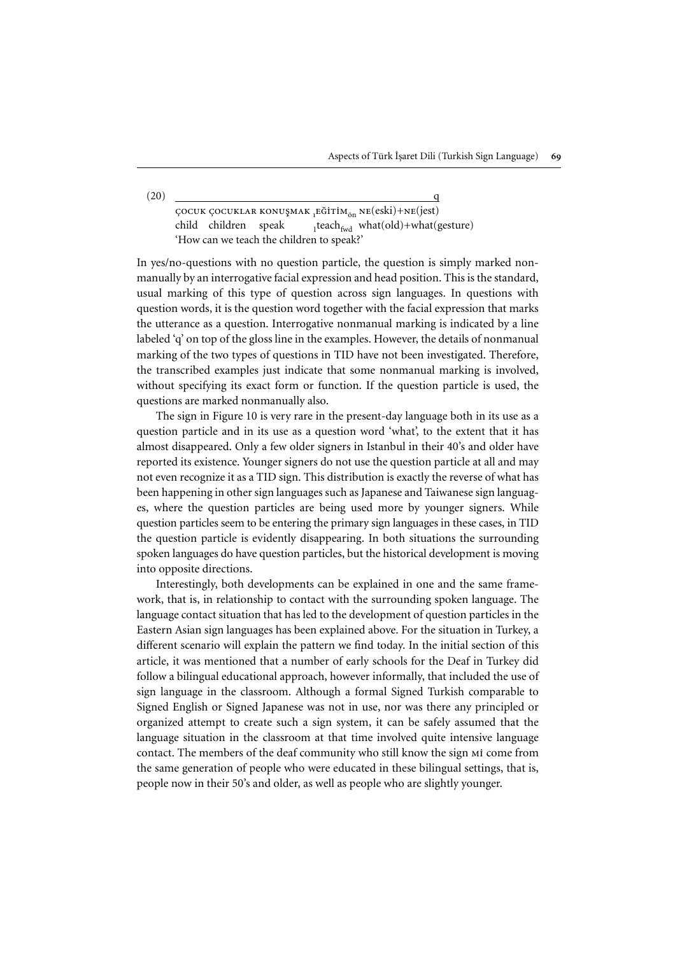--------------------- q Áocuk Áocuklar konusmak <sup>1</sup> eg©i¨ti¨mön ne(eski)+ne(jest) child children speak  $_1teach_{fwd}$  what(old)+what(gesture) 'How can we teach the children to speak?'

 $(20)$ 

In yes/no-questions with no question particle, the question is simply marked nonmanually by an interrogative facial expression and head position. This is the standard, usual marking of this type of question across sign languages. In questions with question words, it is the question word together with the facial expression that marks the utterance as a question. Interrogative nonmanual marking is indicated by a line labeled 'q' on top of the gloss line in the examples. However, the details of nonmanual marking of the two types of questions in TID have not been investigated. Therefore, the transcribed examples just indicate that some nonmanual marking is involved, without specifying its exact form or function. If the question particle is used, the questions are marked nonmanually also.

The sign in Figure 10 is very rare in the present-day language both in its use as a question particle and in its use as a question word 'what', to the extent that it has almost disappeared. Only a few older signers in Istanbul in their 40's and older have reported its existence. Younger signers do not use the question particle at all and may not even recognize it as a TID sign. This distribution is exactly the reverse of what has been happening in other sign languages such as Japanese and Taiwanese sign languages, where the question particles are being used more by younger signers. While question particles seem to be entering the primary sign languages in these cases, in TID the question particle is evidently disappearing. In both situations the surrounding spoken languages do have question particles, but the historical development is moving into opposite directions.

Interestingly, both developments can be explained in one and the same framework, that is, in relationship to contact with the surrounding spoken language. The language contact situation that has led to the development of question particles in the Eastern Asian sign languages has been explained above. For the situation in Turkey, a different scenario will explain the pattern we find today. In the initial section of this article, it was mentioned that a number of early schools for the Deaf in Turkey did follow a bilingual educational approach, however informally, that included the use of sign language in the classroom. Although a formal Signed Turkish comparable to Signed English or Signed Japanese was not in use, nor was there any principled or organized attempt to create such a sign system, it can be safely assumed that the language situation in the classroom at that time involved quite intensive language contact. The members of the deaf community who still know the sign  $M$  come from the same generation of people who were educated in these bilingual settings, that is, people now in their 50's and older, as well as people who are slightly younger.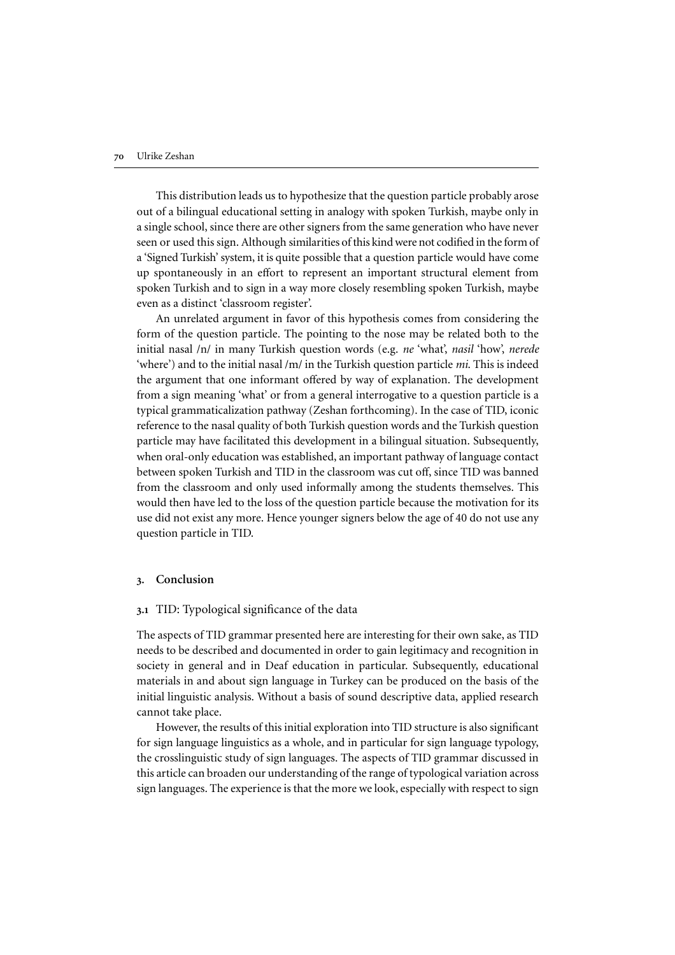This distribution leads us to hypothesize that the question particle probably arose out of a bilingual educational setting in analogy with spoken Turkish, maybe only in a single school, since there are other signers from the same generation who have never seen or used this sign. Although similarities of this kind were not codified in the form of a 'Signed Turkish' system, it is quite possible that a question particle would have come up spontaneously in an effort to represent an important structural element from spoken Turkish and to sign in a way more closely resembling spoken Turkish, maybe even as a distinct 'classroom register'.

An unrelated argument in favor of this hypothesis comes from considering the form of the question particle. The pointing to the nose may be related both to the initial nasal /n/ in many Turkish question words (e.g. *ne* 'what', *nasil* 'how', *nerede* 'where') and to the initial nasal /m/ in the Turkish question particle *mi*. This is indeed the argument that one informant offered by way of explanation. The development from a sign meaning 'what' or from a general interrogative to a question particle is a typical grammaticalization pathway (Zeshan forthcoming). In the case of TID, iconic reference to the nasal quality of both Turkish question words and the Turkish question particle may have facilitated this development in a bilingual situation. Subsequently, when oral-only education was established, an important pathway of language contact between spoken Turkish and TID in the classroom was cut off, since TID was banned from the classroom and only used informally among the students themselves. This would then have led to the loss of the question particle because the motivation for its use did not exist any more. Hence younger signers below the age of 40 do not use any question particle in TID.

#### 3. Conclusion

#### 3.1 TID: Typological significance of the data

The aspects of TID grammar presented here are interesting for their own sake, as TID needs to be described and documented in order to gain legitimacy and recognition in society in general and in Deaf education in particular. Subsequently, educational materials in and about sign language in Turkey can be produced on the basis of the initial linguistic analysis. Without a basis of sound descriptive data, applied research cannot take place.

However, the results of this initial exploration into TID structure is also significant for sign language linguistics as a whole, and in particular for sign language typology, the crosslinguistic study of sign languages. The aspects of TID grammar discussed in this article can broaden our understanding of the range of typological variation across sign languages. The experience is that the more we look, especially with respect to sign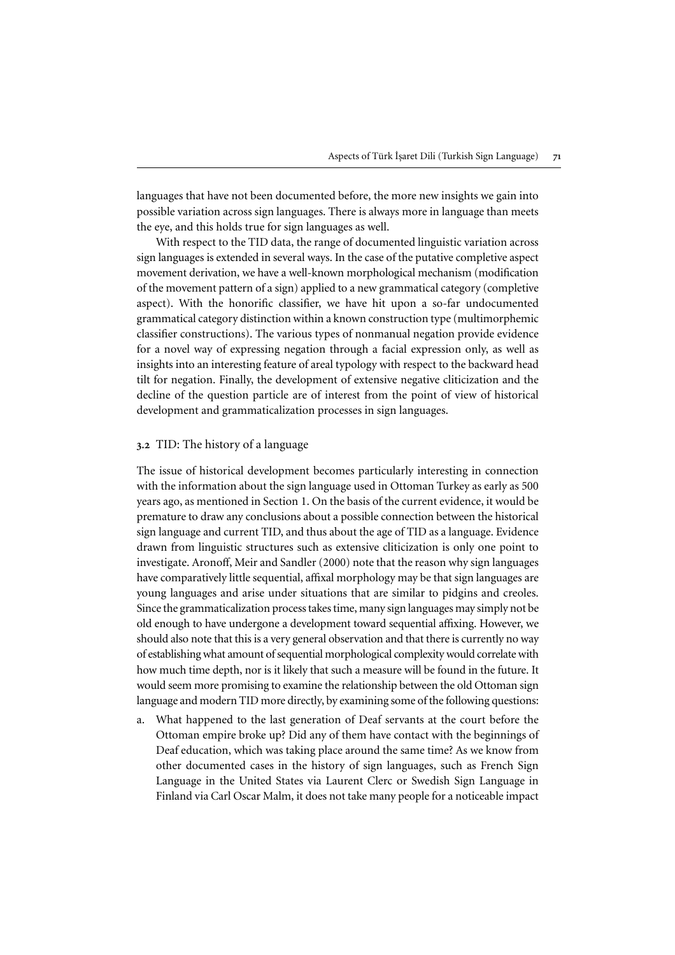languages that have not been documented before, the more new insights we gain into possible variation across sign languages. There is always more in language than meets the eye, and this holds true for sign languages as well.

With respect to the TID data, the range of documented linguistic variation across sign languages is extended in several ways. In the case of the putative completive aspect movement derivation, we have a well-known morphological mechanism (modification of the movement pattern of a sign) applied to a new grammatical category (completive aspect). With the honorific classifier, we have hit upon a so-far undocumented grammatical category distinction within a known construction type (multimorphemic classifier constructions). The various types of nonmanual negation provide evidence for a novel way of expressing negation through a facial expression only, as well as insights into an interesting feature of areal typology with respect to the backward head tilt for negation. Finally, the development of extensive negative cliticization and the decline of the question particle are of interest from the point of view of historical development and grammaticalization processes in sign languages.

#### 3.2 TID: The history of a language

The issue of historical development becomes particularly interesting in connection with the information about the sign language used in Ottoman Turkey as early as 500 years ago, as mentioned in Section 1. On the basis of the current evidence, it would be premature to draw any conclusions about a possible connection between the historical sign language and current TID, and thus about the age of TID as a language. Evidence drawn from linguistic structures such as extensive cliticization is only one point to investigate. [Aronoff, Meir and Sandler \(2000\)](#page-30-0) note that the reason why sign languages have comparatively little sequential, affixal morphology may be that sign languages are young languages and arise under situations that are similar to pidgins and creoles. Since the grammaticalization process takes time, many sign languages may simply not be old enough to have undergone a development toward sequential affixing. However, we should also note that this is a very general observation and that there is currently no way of establishing what amount of sequential morphological complexity would correlate with how much time depth, nor is it likely that such a measure will be found in the future. It would seem more promising to examine the relationship between the old Ottoman sign language and modern TID more directly, by examining some of the following questions:

a. What happened to the last generation of Deaf servants at the court before the Ottoman empire broke up? Did any of them have contact with the beginnings of Deaf education, which was taking place around the same time? As we know from other documented cases in the history of sign languages, such as French Sign Language in the United States via Laurent Clerc or Swedish Sign Language in Finland via Carl Oscar Malm, it does not take many people for a noticeable impact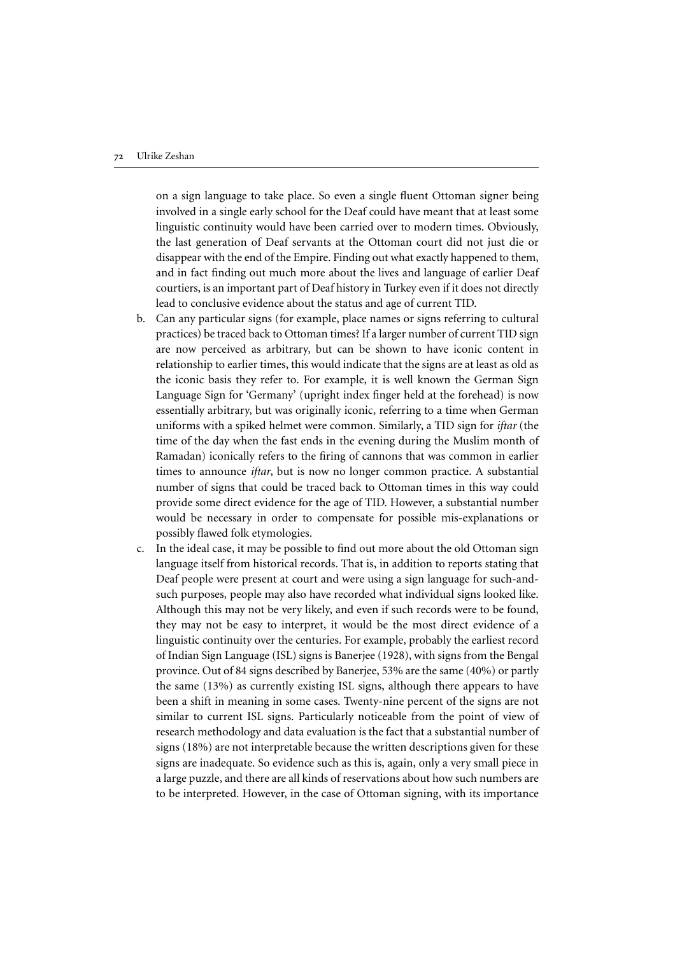on a sign language to take place. So even a single fluent Ottoman signer being involved in a single early school for the Deaf could have meant that at least some linguistic continuity would have been carried over to modern times. Obviously, the last generation of Deaf servants at the Ottoman court did not just die or disappear with the end of the Empire. Finding out what exactly happened to them, and in fact finding out much more about the lives and language of earlier Deaf courtiers, is an important part of Deaf history in Turkey even if it does not directly lead to conclusive evidence about the status and age of current TID.

- b. Can any particular signs (for example, place names or signs referring to cultural practices) be traced back to Ottoman times? If a larger number of current TID sign are now perceived as arbitrary, but can be shown to have iconic content in relationship to earlier times, this would indicate that the signs are at least as old as the iconic basis they refer to. For example, it is well known the German Sign Language Sign for 'Germany' (upright index finger held at the forehead) is now essentially arbitrary, but was originally iconic, referring to a time when German uniforms with a spiked helmet were common. Similarly, a TID sign for *iftar* (the time of the day when the fast ends in the evening during the Muslim month of Ramadan) iconically refers to the firing of cannons that was common in earlier times to announce *iftar*, but is now no longer common practice. A substantial number of signs that could be traced back to Ottoman times in this way could provide some direct evidence for the age of TID. However, a substantial number would be necessary in order to compensate for possible mis-explanations or possibly flawed folk etymologies.
- c. In the ideal case, it may be possible to find out more about the old Ottoman sign language itself from historical records. That is, in addition to reports stating that Deaf people were present at court and were using a sign language for such-andsuch purposes, people may also have recorded what individual signs looked like. Although this may not be very likely, and even if such records were to be found, they may not be easy to interpret, it would be the most direct evidence of a linguistic continuity over the centuries. For example, probably the earliest record of Indian Sign Language (ISL) signs is [Banerjee \(1928\)](#page-30-0), with signs from the Bengal province. Out of 84 signs described by Banerjee, 53% are the same (40%) or partly the same (13%) as currently existing ISL signs, although there appears to have been a shift in meaning in some cases. Twenty-nine percent of the signs are not similar to current ISL signs. Particularly noticeable from the point of view of research methodology and data evaluation is the fact that a substantial number of signs (18%) are not interpretable because the written descriptions given for these signs are inadequate. So evidence such as this is, again, only a very small piece in a large puzzle, and there are all kinds of reservations about how such numbers are to be interpreted. However, in the case of Ottoman signing, with its importance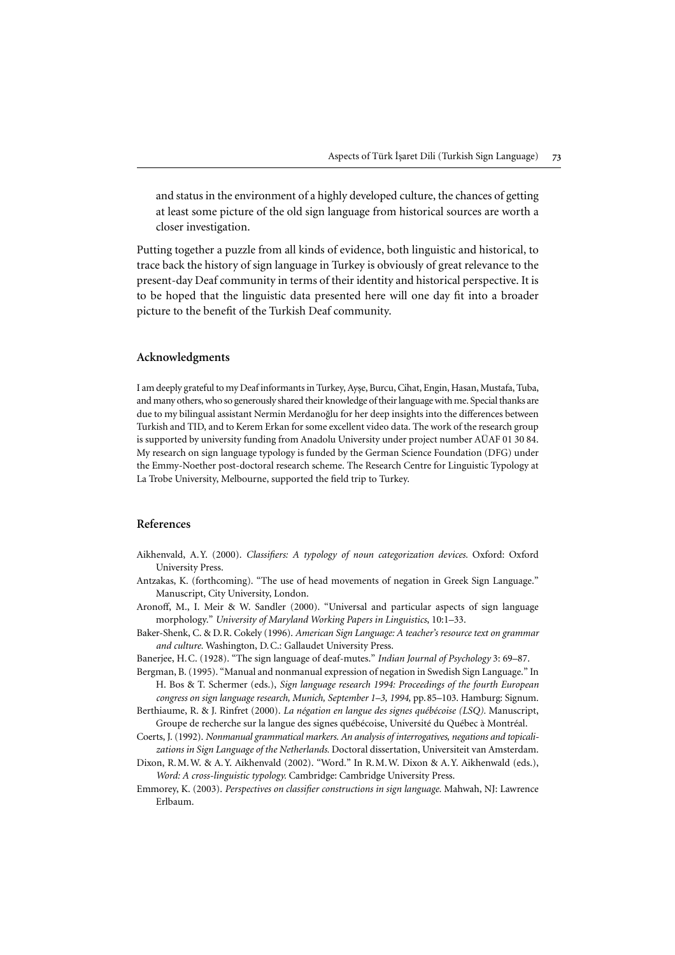and status in the environment of a highly developed culture, the chances of getting at least some picture of the old sign language from historical sources are worth a closer investigation.

Putting together a puzzle from all kinds of evidence, both linguistic and historical, to trace back the history of sign language in Turkey is obviously of great relevance to the present-day Deaf community in terms of their identity and historical perspective. It is to be hoped that the linguistic data presented here will one day fit into a broader picture to the benefit of the Turkish Deaf community.

#### Acknowledgments

<span id="page-30-0"></span>I am deeply grateful to my Deaf informants in Turkey, Ayşe, Burcu, Cihat, Engin, Hasan, Mustafa, Tuba, and many others, who so generously shared their knowledge of their language with me. Special thanks are due to my bilingual assistant Nermin Merdanoğlu for her deep insights into the differences between Turkish and TID, and to Kerem Erkan for some excellent video data. The work of the research group is supported by university funding from Anadolu University under project number AÜAF 01 30 84. My research on sign language typology is funded by the German Science Foundation (DFG) under the Emmy-Noether post-doctoral research scheme. The Research Centre for Linguistic Typology at La Trobe University, Melbourne, supported the field trip to Turkey. manuscript, City University, City University, London<br>
21 Aikheav State Manuscript, London<br>
21 Aikheav State Havan State Back the history of sign language<br>
21 France back the history of sign language<br>
21 France back the his Aspects of Turk I<sub>spect</sub> Dili (Turkia<br>
and status in the environment of a highly developed culture, the ch<br>
at least some picture of the old sign language from historical sour<br>
Putting together a puzzle from all kinds of e Aspects of Tork, learnt Dirk, learnt Dirk, learnt Dirk Curision Sign Language.<br>
and status in the environment of a highly developed culture, the choices of getting<br>
actual and non-manual and non-manual in Swedish Covider As<br>peece of Turk heaver Diff (Turkish Sign Language) and status in the environment of a highly developed culture, the charactes of getting<br>at least some picture of the old sign language from historical sources are worth<br>a Aspects of Tote kierte Dili (Turkish Sign Langues)<br>
and status in the environment of a highly developed culture, the chances of getti<br>
art least some picture of the old sign language from historical sources are worr<br>
dose and stat<br>
at least states at least states at least states at least states and the present-day<br>
to be hoped picture to the Morel picture to the Acknowled<br>
1 am deeply grand many other and many other due to my bill<br>
Turkish

#### References

- Aikhenvald, A.Y. (2000). *Classifiers: A typology of noun categorization devices.* Oxford: Oxford University Press.
- Antzakas, K. (forthcoming). "The use of head movements of negation in Greek Sign Language."
- Aronoff, M., I. Meir & W. Sandler (2000). "Universal and particular aspects of sign language
- Baker-Shenk, C. & D.R. Cokely (1996). *American Sign Language: A teacher's resource text on grammar and culture.* Washington, D.C.: Gallaudet University Press.
- Banerjee, H.C. (1928). "The sign language of deaf-mutes." *Indian Journal of Psychology* 3: 69–87.

*congress on sign language research, Munich, September 1–3, 1994,* pp.85–103. Hamburg: Signum.

- Berthiaume, R. & J. Rinfret (2000). *La négation en langue des signes québécoise (LSQ).* Manuscript,
- Coerts, J. (1992). *Nonmanual grammatical markers. An analysis of interrogatives, negations and topicali zations in Sign Language of the Netherlands.* Doctoral dissertation, Universiteit van Amsterdam.
- Dixon, R.M.W. & A.Y. Aikhenvald (2002). "Word." In R.M.W. Dixon & A.Y. Aikhenwald (eds.), *Word: A cross-linguistic typology.* Cambridge: Cambridge University Press.
- Emmorey, K. (2003). *Perspectives on classifier constructions in sign language.* Mahwah, NJ: Lawrence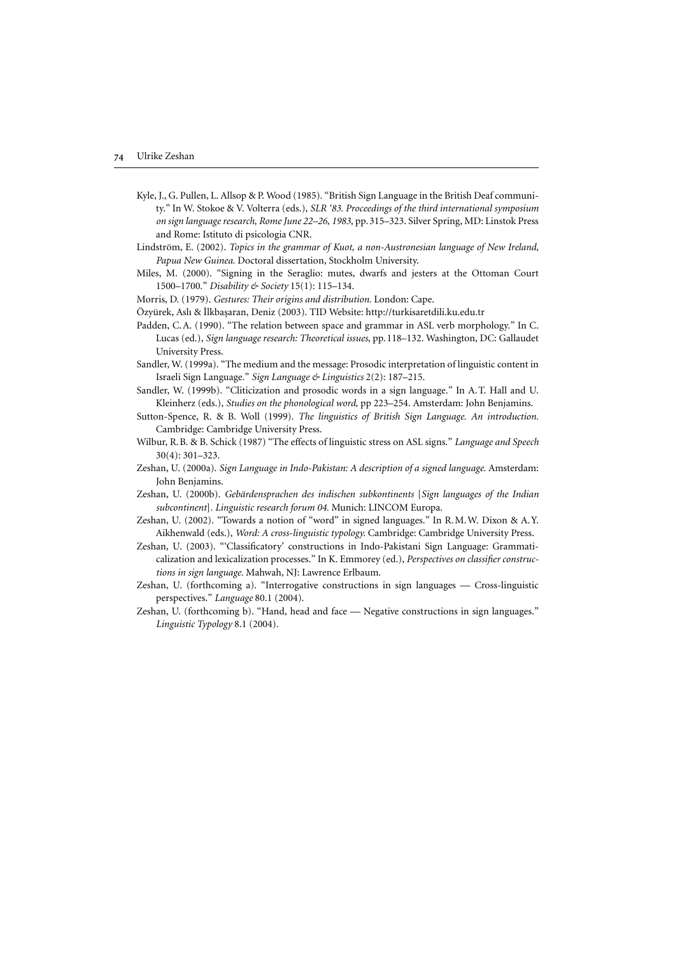- <span id="page-31-0"></span>Kyle, J., G. Pullen, L. Allsop & P. Wood (1985). "British Sign Language in the British Deaf communi ty." In W. Stokoe & V. Volterra (eds.), *SLR '83. Proceedings of the third international symposium on sign language research, Rome June 22–26, 1983*, pp.315–323. Silver Spring, MD: Linstok Press and Rome: Istituto di psicologia CNR. Vesterrich Urike Zeshan<br>
Kyle, J., G. Pullen, L. Allsop & P. Wood (1985). "British<br>
ty." In W. Stokoe & V. Volterra (eds.), *SLR* '83. Pr<br>
on sign language research, Rome June 22–26, 1983,<br>
and Rome: Istituto di psicologia Tampon, L. Allsop & P. Wood (1985). "British Sign Language in the British Dety." In W. Stokoe & V. Volterra (eds.), *SLR '83. Proceedings of the third internation* on sign language research, *Rome June 22–26*, 1983, pp.315 Xessian (1998). "The Noord (1985). "British Sign Language in the British Deaf community." In W. Stokoe & V. Volterra (eds.), SLR '83. Proceedings of the third international symposium on sign language research, Rome June 22 Textuary 1920. The main state of the British Sign Language in the British Deaf community," In W. Stokoe & V. Volterra (eds.), *SLR* '83*. Proceedings of the third international symposium on sign language research, Rome Jun* Table 7, Channell, L. Allsop & P. Wood (1985). "British Sign Language in ty." In W. Stokoe & V. Volterra (eds.), *SLR '83. Proceedings of the thom sign language research, Rome June 22–26, 1983, pp. 315–323. Silve and Rome:* 74 Ulrike Zeshan<br>
Kyle, J., G. Pullen, L. Allsop & P. Wood (1985).<br>
ty." In W. Stokoe & V. Volterra (eds.), SL.<br>
on sign language research, Rome June 22–2<br>
and Rome: Istituto di psicologia CNR.<br>
Lindström, E. (2002). *Top* 74 Ulrike Zeshan<br>
Kyle, J., G. Pullen, L.<br>
ty." In W. Stoko<br>
on sign language<br>
and Rome: Istitt<br>
Lindström, E. (2002<br> *Papua New Guil*<br>
Miles, M. (2000). "<br>
1500–1700." Di<br>
Morris, D. (1979). G<br>
Özyürek, Aslı & İlkb<br>
Padde 74 Ulrike Zeshan<br>
Kyle, J., G. Pullen, L. *t*,<br>
ty." In W. Stokoe<br>
on sign language<br>
and Rome: Istitu<br>
Lindström, E. (2002)<br> *Papua New Guin*<br>
Miles, M. (2000). "<br>
1500–1700." *Dis*<br>
Morris, D. (1979). *Gé*<br>
Özyürek, Aslı
	- Lindström, E. (2002). *Topics in the grammar of Kuot, a non-Austronesian language of New Ireland, Papua New Guinea.* Doctoral dissertation, Stockholm University.
	- Miles, M. (2000). "Signing in the Seraglio: mutes, dwarfs and jesters at the Ottoman Court
	- Morris, D. (1979). *Gestures: Their origins and distribution.* London: Cape.
	-
	- University Press.
	- Sandler, W. (1999a). "The medium and the message: Prosodic interpretation of linguistic content in
	- Sandler, W. (1999b). "Cliticization and prosodic words in a sign language." In A.T. Hall and U. Kleinherz (eds.), *Studies on the phonological word,* pp 223–254. Amsterdam: John Benjamins.
	- Sutton-Spence, R. & B. Woll (1999). *The linguistics of British Sign Language. An introduction.*
	- Wilbur, R.B. & B. Schick (1987) "The effects of linguistic stress on ASL signs." *Language and Speech*
	- Zeshan, U. (2000a). *Sign Language in Indo-Pakistan: A description of a signed language.* Amsterdam:
	- Zeshan, U. (2000b). *Gebärdensprachen des indischen subkontinents* [*Sign languages of the Indian subcontinent*]*. Linguistic research forum 04.* Munich: LINCOM Europa.
	- Zeshan, U. (2002). "Towards a notion of "word" in signed languages." In R.M.W. Dixon & A.Y. Aikhenwald (eds.), *Word: A cross-linguistic typology.* Cambridge: Cambridge University Press.
	- Zeshan, U. (2003). "'Classificatory' constructions in Indo-Pakistani Sign Language: Grammaticalization and lexicalization processes." In K. Emmorey (ed.), *Perspectives on classifier constructions in sign language.* Mahwah, NJ: Lawrence Erlbaum.
	- Zeshan, U. (forthcoming a). "Interrogative constructions in sign languages Cross-linguistic perspectives." *Language* 80.1 (2004).
	- Zeshan, U. (forthcoming b). "Hand, head and face Negative constructions in sign languages." *Linguistic Typology* 8.1 (2004).